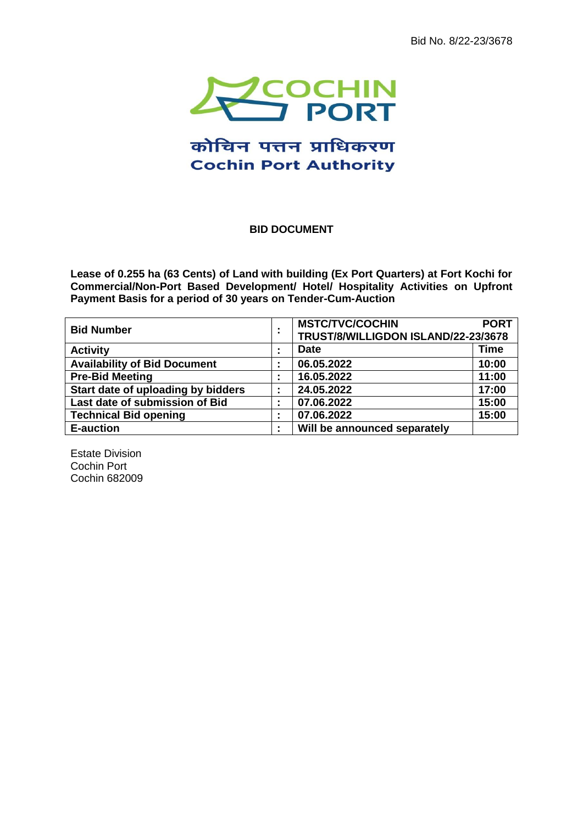Bid No. 8/22-23/3678



# कोचिन पत्तन प्राधिकरण **Cochin Port Authority**

## <span id="page-0-0"></span>**BID DOCUMENT**

**Lease of 0.255 ha (63 Cents) of Land with building (Ex Port Quarters) at Fort Kochi for Commercial/Non-Port Based Development/ Hotel/ Hospitality Activities on Upfront Payment Basis for a period of 30 years on Tender-Cum-Auction**

| <b>Bid Number</b>                   | <b>MSTC/TVC/COCHIN</b><br>TRUST/8/WILLIGDON ISLAND/22-23/3678 | <b>PORT</b> |
|-------------------------------------|---------------------------------------------------------------|-------------|
| <b>Activity</b>                     | <b>Date</b>                                                   | <b>Time</b> |
| <b>Availability of Bid Document</b> | 06.05.2022                                                    | 10:00       |
| <b>Pre-Bid Meeting</b>              | 16.05.2022                                                    | 11:00       |
| Start date of uploading by bidders  | 24.05.2022                                                    | 17:00       |
| Last date of submission of Bid      | 07.06.2022                                                    | 15:00       |
| <b>Technical Bid opening</b>        | 07.06.2022                                                    | 15:00       |
| <b>E-auction</b>                    | Will be announced separately                                  |             |

Estate Division Cochin Port Cochin 682009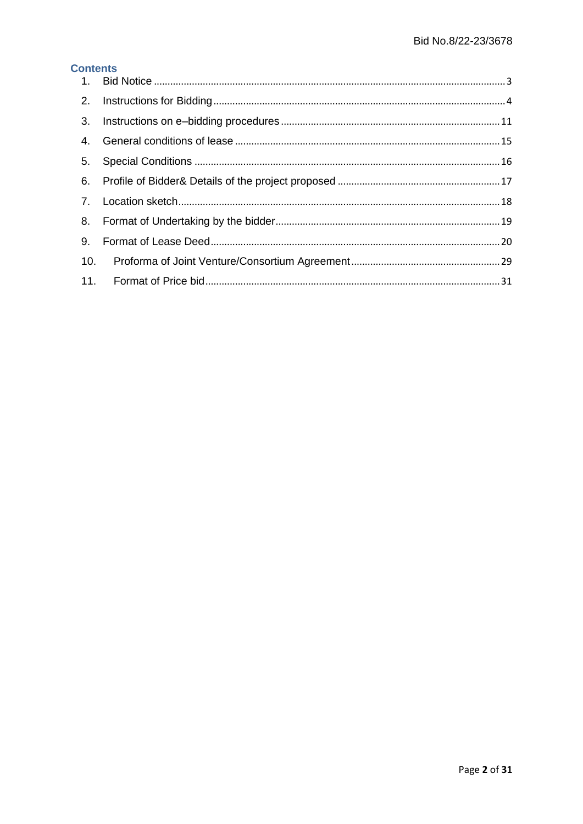# **Contents**

| 9. |  |
|----|--|
|    |  |
|    |  |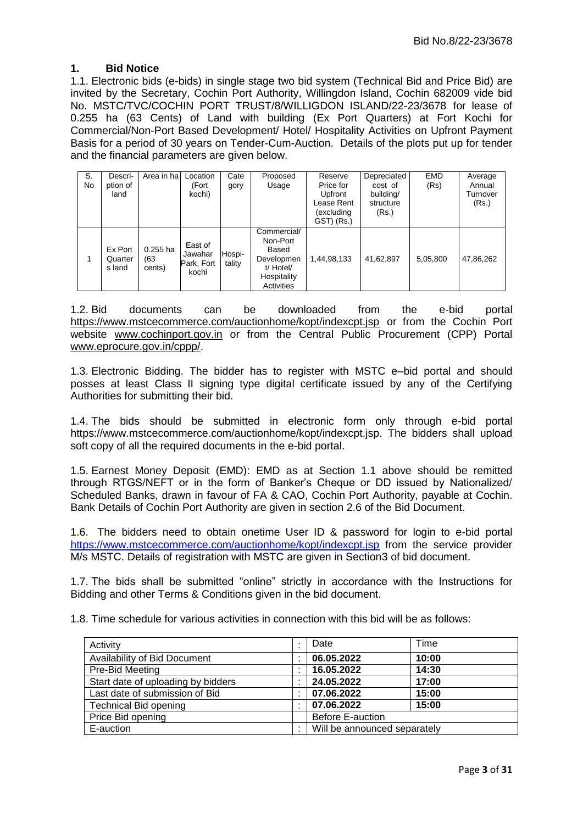## <span id="page-2-0"></span>**1. Bid Notice**

1.1. Electronic bids (e-bids) in single stage two bid system (Technical Bid and Price Bid) are invited by the Secretary, Cochin Port Authority, Willingdon Island, Cochin 682009 vide bid No. [MSTC/TVC/COCHIN PORT TRUST/8/WILLIGDON ISLAND/22-23/3678](#page-0-0) for lease of 0.255 ha (63 Cents) of Land with building (Ex Port Quarters) at Fort Kochi for Commercial/Non-Port Based Development/ Hotel/ Hospitality Activities on Upfront Payment Basis for a period of 30 years on Tender-Cum-Auction. Details of the plots put up for tender and the financial parameters are given below.

| S.<br>No | Descri-<br>ption of<br>land  | Area in ha                   | Location<br>(Fort<br>kochi)               | Cate<br>gory     | Proposed<br>Usage                                                                        | Reserve<br>Price for<br>Upfront<br>Lease Rent<br>(excluding<br>GST) (Rs.) | Depreciated<br>cost of<br>building/<br>structure<br>(Rs.) | <b>EMD</b><br>(Rs) | Average<br>Annual<br>Turnover<br>(Rs.) |
|----------|------------------------------|------------------------------|-------------------------------------------|------------------|------------------------------------------------------------------------------------------|---------------------------------------------------------------------------|-----------------------------------------------------------|--------------------|----------------------------------------|
| 1        | Ex Port<br>Quarter<br>s land | $0.255$ ha<br>(63)<br>cents) | East of<br>Jawahar<br>Park, Fort<br>kochi | Hospi-<br>tality | Commercial/<br>Non-Port<br>Based<br>Developmen<br>t/ Hotel/<br>Hospitality<br>Activities | 1,44,98,133                                                               | 41,62,897                                                 | 5,05,800           | 47,86,262                              |

<span id="page-2-1"></span>1.2. Bid documents can be downloaded from the e-bid portal [https://www.mstcecommerce.com/auctionhome/kopt/indexcpt.jsp](http://www.mstcecommerce.com/) or from the Cochin Port website [www.cochinport.gov.in](http://www.cochinport.gov.in/) or from the Central Public Procurement (CPP) Portal [www.eprocure.gov.in/cppp/.](http://www.eprocure.gov.in/cppp/)

1.3. Electronic Bidding. The bidder has to register with MSTC e–bid portal and should posses at least Class II signing type digital certificate issued by any of the Certifying Authorities for submitting their bid.

1.4. The bids should be submitted in electronic form only through e-bid portal [https://www.mstcecommerce.com/auctionhome/kopt/indexcpt.jsp.](http://www.mstcecommerce.com/) The bidders shall upload soft copy of all the required documents in the e-bid portal.

1.5. Earnest Money Deposit (EMD): EMD as at Section 1.1 above should be remitted through RTGS/NEFT or in the form of Banker"s Cheque or DD issued by Nationalized/ Scheduled Banks, drawn in favour of FA & CAO, Cochin Port Authority, payable at Cochin. Bank Details of Cochin Port Authority are given in section [2.6](#page-5-0) of the Bid Document.

1.6. The bidders need to obtain onetime User ID & password for login to e-bid portal <https://www.mstcecommerce.com/auctionhome/kopt/indexcpt.jsp> from the service provider M/s MSTC. Details of registration with MSTC are given in Sectio[n3](#page-10-0) of bid document.

1.7. The bids shall be submitted "online" strictly in accordance with the Instructions for Bidding and other Terms & Conditions given in the bid document.

<span id="page-2-2"></span>1.8. Time schedule for various activities in connection with this bid will be as follows:

| Activity                           | Date                         | Time  |
|------------------------------------|------------------------------|-------|
| Availability of Bid Document       | 06.05.2022                   | 10:00 |
| Pre-Bid Meeting                    | 16.05.2022                   | 14:30 |
| Start date of uploading by bidders | 24.05.2022<br>17:00          |       |
| Last date of submission of Bid     | 15:00<br>07.06.2022          |       |
| <b>Technical Bid opening</b>       | 07.06.2022<br>15:00          |       |
| Price Bid opening                  | <b>Before E-auction</b>      |       |
| E-auction                          | Will be announced separately |       |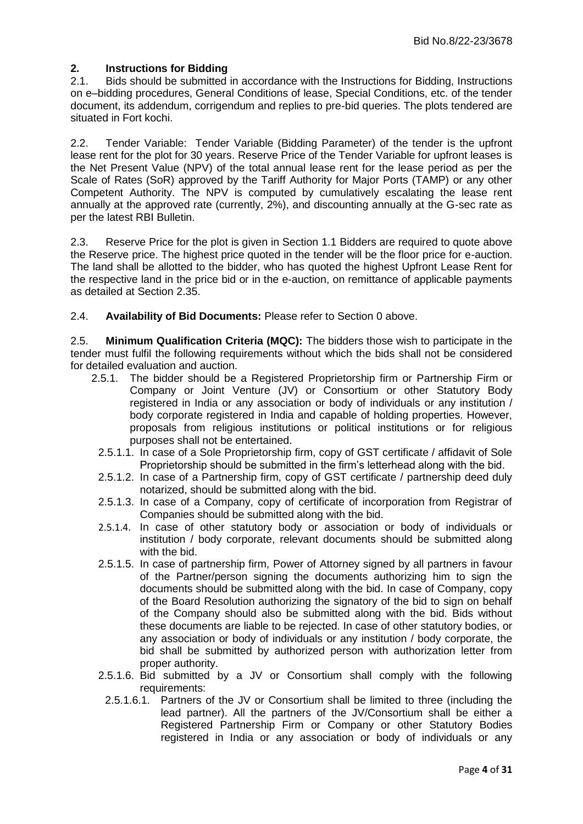# **2. Instructions for Bidding**

<span id="page-3-0"></span>2.1. Bids should be submitted in accordance with the Instructions for Bidding, Instructions on e–bidding procedures, General Conditions of lease, Special Conditions, etc. of the tender document, its addendum, corrigendum and replies to pre-bid queries. The plots tendered are situated in Fort kochi.

2.2. Tender Variable: Tender Variable (Bidding Parameter) of the tender is the upfront lease rent for the plot for 30 years. Reserve Price of the Tender Variable for upfront leases is the Net Present Value (NPV) of the total annual lease rent for the lease period as per the Scale of Rates (SoR) approved by the Tariff Authority for Major Ports (TAMP) or any other Competent Authority. The NPV is computed by cumulatively escalating the lease rent annually at the approved rate (currently, 2%), and discounting annually at the G-sec rate as per the latest RBI Bulletin.

2.3. Reserve Price for the plot is given in Section 1.1 Bidders are required to quote above the Reserve price. The highest price quoted in the tender will be the floor price for e-auction. The land shall be allotted to the bidder, who has quoted the highest Upfront Lease Rent for the respective land in the price bid or in the e-auction, on remittance of applicable payments as detailed at Section [2.35.](#page-8-0)

2.4. **Availability of Bid Documents:** Please refer to Section [0](#page-2-1) above.

2.5. **Minimum Qualification Criteria (MQC):** The bidders those wish to participate in the tender must fulfil the following requirements without which the bids shall not be considered for detailed evaluation and auction.

- 2.5.1. The bidder should be a Registered Proprietorship firm or Partnership Firm or Company or Joint Venture (JV) or Consortium or other Statutory Body registered in India or any association or body of individuals or any institution / body corporate registered in India and capable of holding properties. However, proposals from religious institutions or political institutions or for religious purposes shall not be entertained.
	- 2.5.1.1. In case of a Sole Proprietorship firm, copy of GST certificate / affidavit of Sole Proprietorship should be submitted in the firm"s letterhead along with the bid.
	- 2.5.1.2. In case of a Partnership firm, copy of GST certificate / partnership deed duly notarized, should be submitted along with the bid.
	- 2.5.1.3. In case of a Company, copy of certificate of incorporation from Registrar of Companies should be submitted along with the bid.
	- 2.5.1.4. In case of other statutory body or association or body of individuals or institution / body corporate, relevant documents should be submitted along with the bid.
	- 2.5.1.5. In case of partnership firm, Power of Attorney signed by all partners in favour of the Partner/person signing the documents authorizing him to sign the documents should be submitted along with the bid. In case of Company, copy of the Board Resolution authorizing the signatory of the bid to sign on behalf of the Company should also be submitted along with the bid. Bids without these documents are liable to be rejected. In case of other statutory bodies, or any association or body of individuals or any institution / body corporate, the bid shall be submitted by authorized person with authorization letter from proper authority.
	- 2.5.1.6. Bid submitted by a JV or Consortium shall comply with the following requirements:
		- 2.5.1.6.1. Partners of the JV or Consortium shall be limited to three (including the lead partner). All the partners of the JV/Consortium shall be either a Registered Partnership Firm or Company or other Statutory Bodies registered in India or any association or body of individuals or any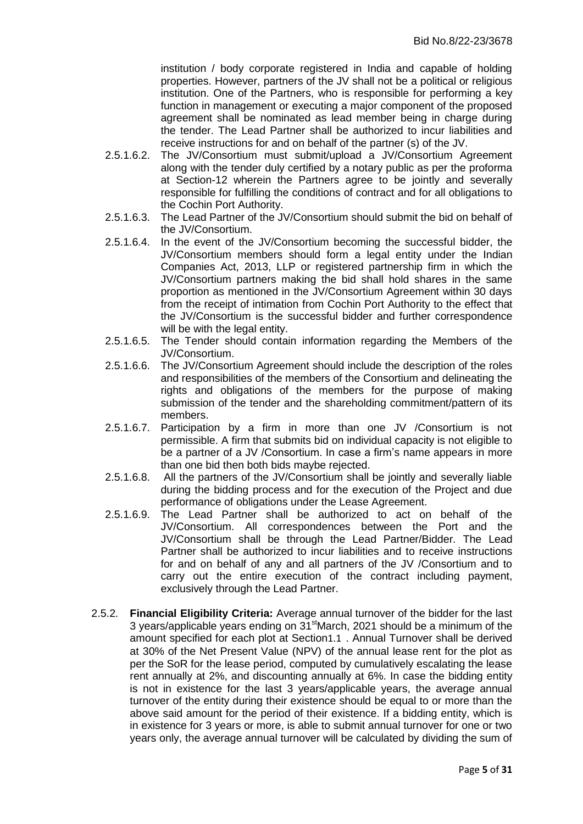institution / body corporate registered in India and capable of holding properties. However, partners of the JV shall not be a political or religious institution. One of the Partners, who is responsible for performing a key function in management or executing a major component of the proposed agreement shall be nominated as lead member being in charge during the tender. The Lead Partner shall be authorized to incur liabilities and receive instructions for and on behalf of the partner (s) of the JV.

- 2.5.1.6.2. The JV/Consortium must submit/upload a JV/Consortium Agreement along with the tender duly certified by a notary public as per the proforma at Section-12 wherein the Partners agree to be jointly and severally responsible for fulfilling the conditions of contract and for all obligations to the Cochin Port Authority.
- 2.5.1.6.3. The Lead Partner of the JV/Consortium should submit the bid on behalf of the JV/Consortium.
- 2.5.1.6.4. In the event of the JV/Consortium becoming the successful bidder, the JV/Consortium members should form a legal entity under the Indian Companies Act, 2013, LLP or registered partnership firm in which the JV/Consortium partners making the bid shall hold shares in the same proportion as mentioned in the JV/Consortium Agreement within 30 days from the receipt of intimation from Cochin Port Authority to the effect that the JV/Consortium is the successful bidder and further correspondence will be with the legal entity.
- 2.5.1.6.5. The Tender should contain information regarding the Members of the JV/Consortium.
- 2.5.1.6.6. The JV/Consortium Agreement should include the description of the roles and responsibilities of the members of the Consortium and delineating the rights and obligations of the members for the purpose of making submission of the tender and the shareholding commitment/pattern of its members.
- 2.5.1.6.7. Participation by a firm in more than one JV /Consortium is not permissible. A firm that submits bid on individual capacity is not eligible to be a partner of a JV /Consortium. In case a firm"s name appears in more than one bid then both bids maybe rejected.
- 2.5.1.6.8. All the partners of the JV/Consortium shall be jointly and severally liable during the bidding process and for the execution of the Project and due performance of obligations under the Lease Agreement.
- 2.5.1.6.9. The Lead Partner shall be authorized to act on behalf of the JV/Consortium. All correspondences between the Port and the JV/Consortium shall be through the Lead Partner/Bidder. The Lead Partner shall be authorized to incur liabilities and to receive instructions for and on behalf of any and all partners of the JV /Consortium and to carry out the entire execution of the contract including payment, exclusively through the Lead Partner.
- 2.5.2. **Financial Eligibility Criteria:** Average annual turnover of the bidder for the last 3 years/applicable years ending on 31<sup>st</sup>March, 2021 should be a minimum of the amount specified for each plot at Section1.1 . Annual Turnover shall be derived at 30% of the Net Present Value (NPV) of the annual lease rent for the plot as per the SoR for the lease period, computed by cumulatively escalating the lease rent annually at 2%, and discounting annually at 6%. In case the bidding entity is not in existence for the last 3 years/applicable years, the average annual turnover of the entity during their existence should be equal to or more than the above said amount for the period of their existence. If a bidding entity, which is in existence for 3 years or more, is able to submit annual turnover for one or two years only, the average annual turnover will be calculated by dividing the sum of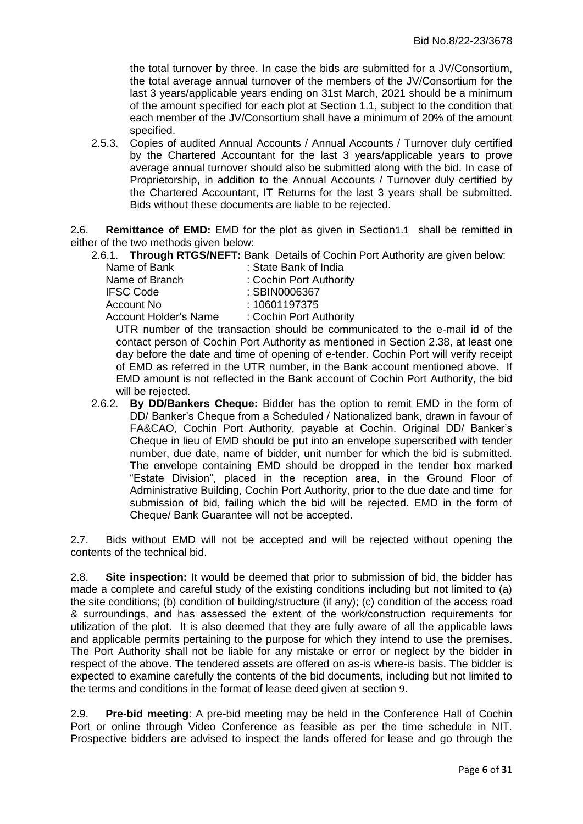the total turnover by three. In case the bids are submitted for a JV/Consortium, the total average annual turnover of the members of the JV/Consortium for the last 3 years/applicable years ending on 31st March, 2021 should be a minimum of the amount specified for each plot at Section 1.1, subject to the condition that each member of the JV/Consortium shall have a minimum of 20% of the amount specified.

2.5.3. Copies of audited Annual Accounts / Annual Accounts / Turnover duly certified by the Chartered Accountant for the last 3 years/applicable years to prove average annual turnover should also be submitted along with the bid. In case of Proprietorship, in addition to the Annual Accounts / Turnover duly certified by the Chartered Accountant, IT Returns for the last 3 years shall be submitted. Bids without these documents are liable to be rejected.

<span id="page-5-0"></span>2.6. **Remittance of EMD:** EMD for the plot as given in Section1.1 shall be remitted in either of the two methods given below:

2.6.1. **Through RTGS/NEFT:** Bank Details of Cochin Port Authority are given below:

Name of Bank : State Bank of India Name of Branch : Cochin Port Authority IFSC Code : SBIN0006367 Account No : 10601197375 Account Holder's Name : Cochin Port Authority

UTR number of the transaction should be communicated to the e-mail id of the contact person of Cochin Port Authority as mentioned in Section [2.38,](#page-9-0) at least one day before the date and time of opening of e-tender. Cochin Port will verify receipt of EMD as referred in the UTR number, in the Bank account mentioned above. If EMD amount is not reflected in the Bank account of Cochin Port Authority, the bid will be rejected.

2.6.2. **By DD/Bankers Cheque:** Bidder has the option to remit EMD in the form of DD/ Banker"s Cheque from a Scheduled / Nationalized bank, drawn in favour of FA&CAO, Cochin Port Authority, payable at Cochin. Original DD/ Banker"s Cheque in lieu of EMD should be put into an envelope superscribed with tender number, due date, name of bidder, unit number for which the bid is submitted. The envelope containing EMD should be dropped in the tender box marked "Estate Division", placed in the reception area, in the Ground Floor of Administrative Building, Cochin Port Authority, prior to the due date and time for submission of bid, failing which the bid will be rejected. EMD in the form of Cheque/ Bank Guarantee will not be accepted.

2.7. Bids without EMD will not be accepted and will be rejected without opening the contents of the technical bid.

2.8. **Site inspection:** It would be deemed that prior to submission of bid, the bidder has made a complete and careful study of the existing conditions including but not limited to (a) the site conditions; (b) condition of building/structure (if any); (c) condition of the access road & surroundings, and has assessed the extent of the work/construction requirements for utilization of the plot. It is also deemed that they are fully aware of all the applicable laws and applicable permits pertaining to the purpose for which they intend to use the premises. The Port Authority shall not be liable for any mistake or error or neglect by the bidder in respect of the above. The tendered assets are offered on as-is where-is basis. The bidder is expected to examine carefully the contents of the bid documents, including but not limited to the terms and conditions in the format of lease deed given at section [9](#page-19-0).

2.9. **Pre-bid meeting**: A pre-bid meeting may be held in the Conference Hall of Cochin Port or online through Video Conference as feasible as per the time schedule in NIT. Prospective bidders are advised to inspect the lands offered for lease and go through the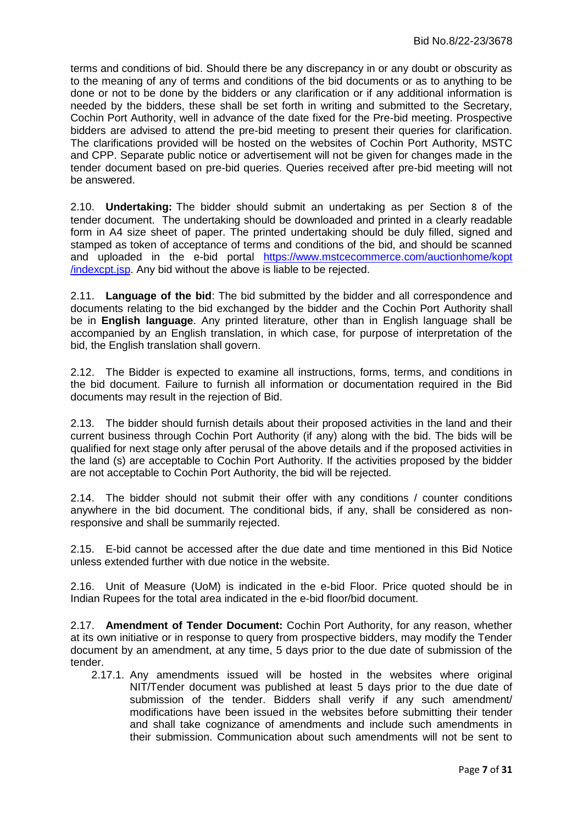terms and conditions of bid. Should there be any discrepancy in or any doubt or obscurity as to the meaning of any of terms and conditions of the bid documents or as to anything to be done or not to be done by the bidders or any clarification or if any additional information is needed by the bidders, these shall be set forth in writing and submitted to the Secretary, Cochin Port Authority, well in advance of the date fixed for the Pre-bid meeting. Prospective bidders are advised to attend the pre-bid meeting to present their queries for clarification. The clarifications provided will be hosted on the websites of Cochin Port Authority, MSTC and CPP. Separate public notice or advertisement will not be given for changes made in the tender document based on pre-bid queries. Queries received after pre-bid meeting will not be answered.

2.10. **Undertaking:** The bidder should submit an undertaking as per Section [8](#page-18-0) of the tender document. The undertaking should be downloaded and printed in a clearly readable form in A4 size sheet of paper. The printed undertaking should be duly filled, signed and stamped as token of acceptance of terms and conditions of the bid, and should be scanned and uploaded in the e-bid portal [https://www.mstcecommerce.com/auctionhome/kopt](https://www.mstcecommerce.com/auctionhome/kopt%20/indexcpt.jsp) [/indexcpt.jsp.](https://www.mstcecommerce.com/auctionhome/kopt%20/indexcpt.jsp) Any bid without the above is liable to be rejected.

2.11. **Language of the bid**: The bid submitted by the bidder and all correspondence and documents relating to the bid exchanged by the bidder and the Cochin Port Authority shall be in **English language**. Any printed literature, other than in English language shall be accompanied by an English translation, in which case, for purpose of interpretation of the bid, the English translation shall govern.

2.12. The Bidder is expected to examine all instructions, forms, terms, and conditions in the bid document. Failure to furnish all information or documentation required in the Bid documents may result in the rejection of Bid.

2.13. The bidder should furnish details about their proposed activities in the land and their current business through Cochin Port Authority (if any) along with the bid. The bids will be qualified for next stage only after perusal of the above details and if the proposed activities in the land (s) are acceptable to Cochin Port Authority. If the activities proposed by the bidder are not acceptable to Cochin Port Authority, the bid will be rejected.

2.14. The bidder should not submit their offer with any conditions / counter conditions anywhere in the bid document. The conditional bids, if any, shall be considered as nonresponsive and shall be summarily rejected.

2.15. E-bid cannot be accessed after the due date and time mentioned in this Bid Notice unless extended further with due notice in the website.

2.16. Unit of Measure (UoM) is indicated in the e-bid Floor. Price quoted should be in Indian Rupees for the total area indicated in the e-bid floor/bid document.

2.17. **Amendment of Tender Document:** Cochin Port Authority, for any reason, whether at its own initiative or in response to query from prospective bidders, may modify the Tender document by an amendment, at any time, 5 days prior to the due date of submission of the tender.

2.17.1. Any amendments issued will be hosted in the websites where original NIT/Tender document was published at least 5 days prior to the due date of submission of the tender. Bidders shall verify if any such amendment/ modifications have been issued in the websites before submitting their tender and shall take cognizance of amendments and include such amendments in their submission. Communication about such amendments will not be sent to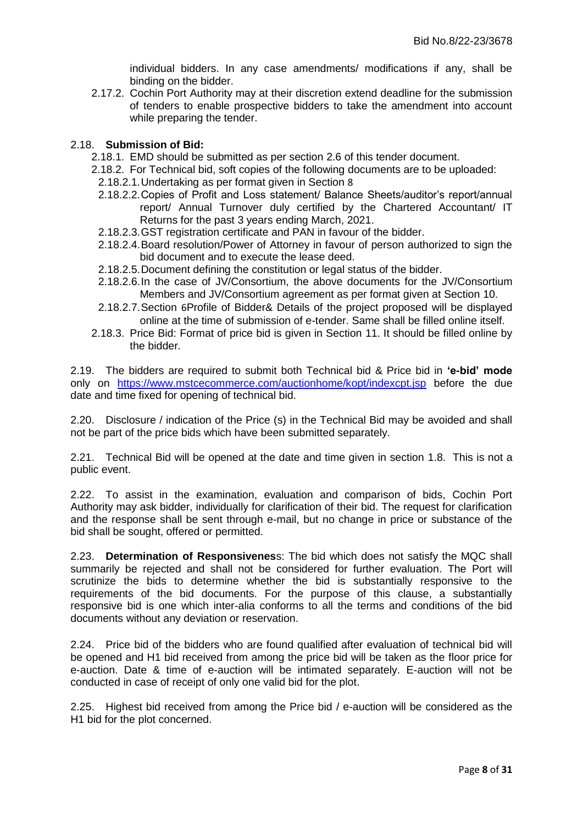individual bidders. In any case amendments/ modifications if any, shall be binding on the bidder.

2.17.2. Cochin Port Authority may at their discretion extend deadline for the submission of tenders to enable prospective bidders to take the amendment into account while preparing the tender.

#### 2.18. **Submission of Bid:**

- 2.18.1. EMD should be submitted as per section [2.6](#page-5-0) of this tender document.
- <span id="page-7-0"></span>2.18.2. For Technical bid, soft copies of the following documents are to be uploaded:
- 2.18.2.1.Undertaking as per format given in Section [8](#page-18-0)
- 2.18.2.2. Copies of Profit and Loss statement/ Balance Sheets/auditor's report/annual report/ Annual Turnover duly certified by the Chartered Accountant/ IT Returns for the past 3 years ending March, 2021.
- 2.18.2.3.GST registration certificate and PAN in favour of the bidder.
- 2.18.2.4.Board resolution/Power of Attorney in favour of person authorized to sign the bid document and to execute the lease deed.
- 2.18.2.5.Document defining the constitution or legal status of the bidder.
- 2.18.2.6.In the case of JV/Consortium, the above documents for the JV/Consortium Members and JV/Consortium agreement as per format given at Section [10](#page-28-0).
- 2.18.2.7.Section [6](#page-16-0)[Profile of Bidder& Details of the project proposed](#page-16-0) will be displayed online at the time of submission of e-tender. Same shall be filled online itself.
- 2.18.3. Price Bid: Format of price bid is given in Section [11](#page-30-0). It should be filled online by the bidder.

2.19. The bidders are required to submit both Technical bid & Price bid in **'e-bid' mode**  only on <https://www.mstcecommerce.com/auctionhome/kopt/indexcpt.jsp> before the due date and time fixed for opening of technical bid.

2.20. Disclosure / indication of the Price (s) in the Technical Bid may be avoided and shall not be part of the price bids which have been submitted separately.

2.21. Technical Bid will be opened at the date and time given in section [1.8.](#page-2-2) This is not a public event.

2.22. To assist in the examination, evaluation and comparison of bids, Cochin Port Authority may ask bidder, individually for clarification of their bid. The request for clarification and the response shall be sent through e-mail, but no change in price or substance of the bid shall be sought, offered or permitted.

2.23. **Determination of Responsivenes**s: The bid which does not satisfy the MQC shall summarily be rejected and shall not be considered for further evaluation. The Port will scrutinize the bids to determine whether the bid is substantially responsive to the requirements of the bid documents. For the purpose of this clause, a substantially responsive bid is one which inter-alia conforms to all the terms and conditions of the bid documents without any deviation or reservation.

2.24. Price bid of the bidders who are found qualified after evaluation of technical bid will be opened and H1 bid received from among the price bid will be taken as the floor price for e-auction. Date & time of e-auction will be intimated separately. E-auction will not be conducted in case of receipt of only one valid bid for the plot.

2.25. Highest bid received from among the Price bid / e-auction will be considered as the H1 bid for the plot concerned.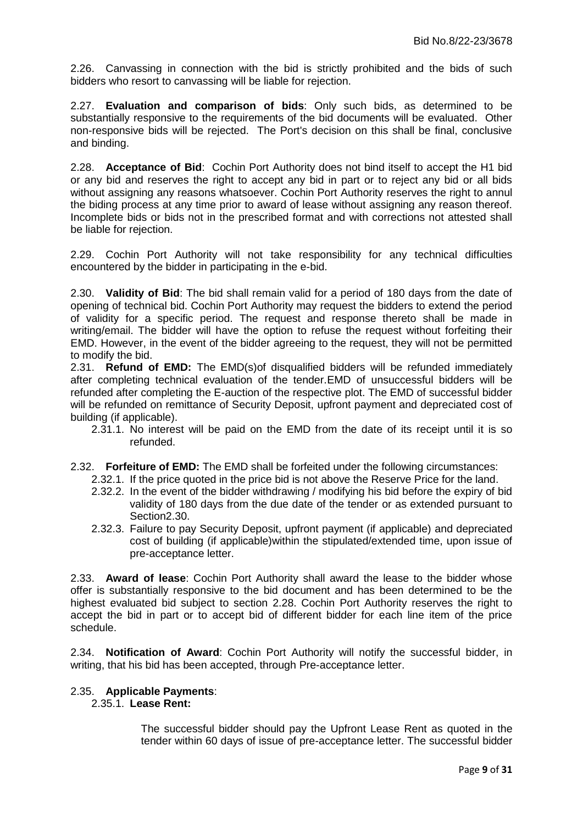2.26. Canvassing in connection with the bid is strictly prohibited and the bids of such bidders who resort to canvassing will be liable for rejection.

<span id="page-8-3"></span>2.27. **Evaluation and comparison of bids**: Only such bids, as determined to be substantially responsive to the requirements of the bid documents will be evaluated. Other non-responsive bids will be rejected. The Port's decision on this shall be final, conclusive and binding.

<span id="page-8-2"></span>2.28. **Acceptance of Bid**: Cochin Port Authority does not bind itself to accept the H1 bid or any bid and reserves the right to accept any bid in part or to reject any bid or all bids without assigning any reasons whatsoever. Cochin Port Authority reserves the right to annul the biding process at any time prior to award of lease without assigning any reason thereof. Incomplete bids or bids not in the prescribed format and with corrections not attested shall be liable for rejection.

2.29. Cochin Port Authority will not take responsibility for any technical difficulties encountered by the bidder in participating in the e-bid.

<span id="page-8-1"></span>2.30. **Validity of Bid**: The bid shall remain valid for a period of 180 days from the date of opening of technical bid. Cochin Port Authority may request the bidders to extend the period of validity for a specific period. The request and response thereto shall be made in writing/email. The bidder will have the option to refuse the request without forfeiting their EMD. However, in the event of the bidder agreeing to the request, they will not be permitted to modify the bid.

2.31. **Refund of EMD:** The EMD(s)of disqualified bidders will be refunded immediately after completing technical evaluation of the tender.EMD of unsuccessful bidders will be refunded after completing the E-auction of the respective plot. The EMD of successful bidder will be refunded on remittance of Security Deposit, upfront payment and depreciated cost of building (if applicable).

- 2.31.1. No interest will be paid on the EMD from the date of its receipt until it is so refunded.
- 2.32. **Forfeiture of EMD:** The EMD shall be forfeited under the following circumstances:
	- 2.32.1. If the price quoted in the price bid is not above the Reserve Price for the land.
	- 2.32.2. In the event of the bidder withdrawing / modifying his bid before the expiry of bid validity of 180 days from the due date of the tender or as extended pursuant to Sectio[n2.30.](#page-8-1)
	- 2.32.3. Failure to pay Security Deposit, upfront payment (if applicable) and depreciated cost of building (if applicable)within the stipulated/extended time, upon issue of pre-acceptance letter.

2.33. **Award of lease**: Cochin Port Authority shall award the lease to the bidder whose offer is substantially responsive to the bid document and has been determined to be the highest evaluated bid subject to section [2.28.](#page-8-2) Cochin Port Authority reserves the right to accept the bid in part or to accept bid of different bidder for each line item of the price schedule.

2.34. **Notification of Award**: Cochin Port Authority will notify the successful bidder, in writing, that his bid has been accepted, through Pre-acceptance letter.

## <span id="page-8-0"></span>2.35. **Applicable Payments**:

## 2.35.1. **Lease Rent:**

The successful bidder should pay the Upfront Lease Rent as quoted in the tender within 60 days of issue of pre-acceptance letter. The successful bidder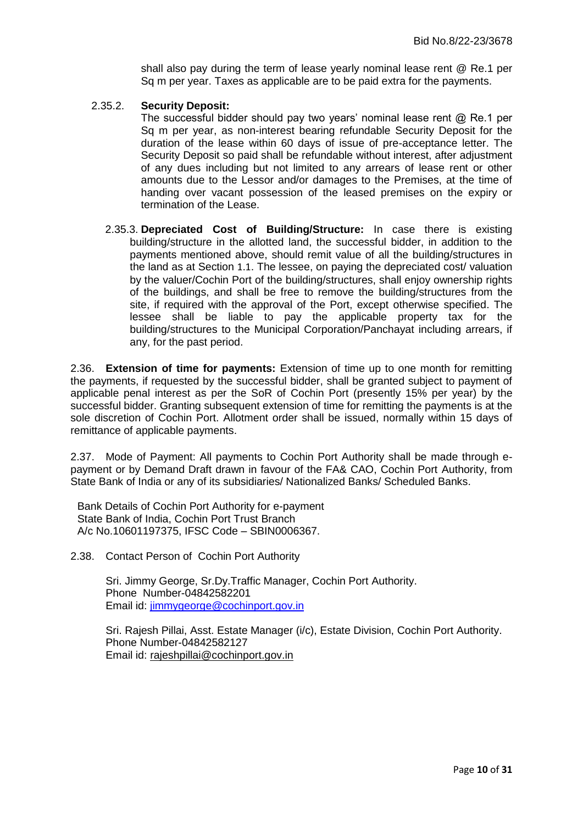shall also pay during the term of lease yearly nominal lease rent @ Re.1 per Sq m per year. Taxes as applicable are to be paid extra for the payments.

#### 2.35.2. **Security Deposit:**

The successful bidder should pay two years' nominal lease rent  $@$  Re.1 per Sq m per year, as non-interest bearing refundable Security Deposit for the duration of the lease within 60 days of issue of pre-acceptance letter. The Security Deposit so paid shall be refundable without interest, after adjustment of any dues including but not limited to any arrears of lease rent or other amounts due to the Lessor and/or damages to the Premises, at the time of handing over vacant possession of the leased premises on the expiry or termination of the Lease.

2.35.3. **Depreciated Cost of Building/Structure:** In case there is existing building/structure in the allotted land, the successful bidder, in addition to the payments mentioned above, should remit value of all the building/structures in the land as at Section 1.1. The lessee, on paying the depreciated cost/ valuation by the valuer/Cochin Port of the building/structures, shall enjoy ownership rights of the buildings, and shall be free to remove the building/structures from the site, if required with the approval of the Port, except otherwise specified. The lessee shall be liable to pay the applicable property tax for the building/structures to the Municipal Corporation/Panchayat including arrears, if any, for the past period.

2.36. **Extension of time for payments:** Extension of time up to one month for remitting the payments, if requested by the successful bidder, shall be granted subject to payment of applicable penal interest as per the SoR of Cochin Port (presently 15% per year) by the successful bidder. Granting subsequent extension of time for remitting the payments is at the sole discretion of Cochin Port. Allotment order shall be issued, normally within 15 days of remittance of applicable payments.

2.37. Mode of Payment: All payments to Cochin Port Authority shall be made through epayment or by Demand Draft drawn in favour of the FA& CAO, Cochin Port Authority, from State Bank of India or any of its subsidiaries/ Nationalized Banks/ Scheduled Banks.

Bank Details of Cochin Port Authority for e-payment State Bank of India, Cochin Port Trust Branch A/c No.10601197375, IFSC Code – SBIN0006367.

<span id="page-9-0"></span>2.38. Contact Person of Cochin Port Authority

Sri. Jimmy George, Sr.Dy.Traffic Manager, Cochin Port Authority. Phone Number-04842582201 Email id: [jimmygeorge@cochinport.gov.in](mailto:jimmygeorge@cochinport.gov.in) 

Sri. Rajesh Pillai, Asst. Estate Manager (i/c), Estate Division, Cochin Port Authority. Phone Number-04842582127 Email id: [rajeshpillai@cochinport.gov.in](mailto:rajeshpillai@cochinport.gov.in)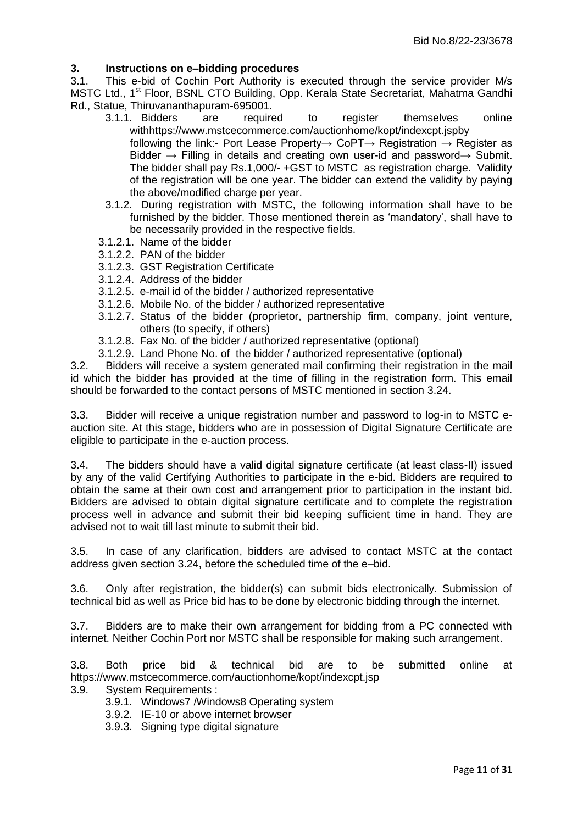## <span id="page-10-0"></span>**3. Instructions on e–bidding procedures**

3.1. This e-bid of Cochin Port Authority is executed through the service provider M/s MSTC Ltd., 1<sup>st</sup> Floor, BSNL CTO Building, Opp. Kerala State Secretariat, Mahatma Gandhi Rd., Statue, Thiruvananthapuram-695001.

- 3.1.1. Bidders are required to register themselves online withhttps://www.mstcecommerce.com/auctionhome/kopt/indexcpt.jspby following the link:- Port Lease Property $\rightarrow$  CoPT $\rightarrow$  Registration  $\rightarrow$  Register as Bidder → Filling in details and creating own user-id and password→ Submit. The bidder shall pay Rs.1,000/- +GST to MSTC as registration charge. Validity of the registration will be one year. The bidder can extend the validity by paying the above/modified charge per year.
- 3.1.2. During registration with MSTC, the following information shall have to be furnished by the bidder. Those mentioned therein as "mandatory", shall have to be necessarily provided in the respective fields.
- 3.1.2.1. Name of the bidder
- 3.1.2.2. PAN of the bidder
- 3.1.2.3. GST Registration Certificate
- 3.1.2.4. Address of the bidder
- 3.1.2.5. e-mail id of the bidder / authorized representative
- 3.1.2.6. Mobile No. of the bidder / authorized representative
- 3.1.2.7. Status of the bidder (proprietor, partnership firm, company, joint venture, others (to specify, if others)
- 3.1.2.8. Fax No. of the bidder / authorized representative (optional)
- 3.1.2.9. Land Phone No. of the bidder / authorized representative (optional)

3.2. Bidders will receive a system generated mail confirming their registration in the mail id which the bidder has provided at the time of filling in the registration form. This email should be forwarded to the contact persons of MSTC mentioned in section [3.24.](#page-13-0)

3.3. Bidder will receive a unique registration number and password to log-in to MSTC eauction site. At this stage, bidders who are in possession of Digital Signature Certificate are eligible to participate in the e-auction process.

3.4. The bidders should have a valid digital signature certificate (at least class-II) issued by any of the valid Certifying Authorities to participate in the e-bid. Bidders are required to obtain the same at their own cost and arrangement prior to participation in the instant bid. Bidders are advised to obtain digital signature certificate and to complete the registration process well in advance and submit their bid keeping sufficient time in hand. They are advised not to wait till last minute to submit their bid.

3.5. In case of any clarification, bidders are advised to contact MSTC at the contact address given section [3.24,](#page-13-0) before the scheduled time of the e–bid.

3.6. Only after registration, the bidder(s) can submit bids electronically. Submission of technical bid as well as Price bid has to be done by electronic bidding through the internet.

3.7. Bidders are to make their own arrangement for bidding from a PC connected with internet. Neither Cochin Port nor MSTC shall be responsible for making such arrangement.

3.8. Both price bid & technical bid are to be submitted online at <https://www.mstcecommerce.com/auctionhome/kopt/indexcpt.jsp>

3.9. System Requirements :

- 3.9.1. Windows7 /Windows8 Operating system
- 3.9.2. IE-10 or above internet browser
- 3.9.3. Signing type digital signature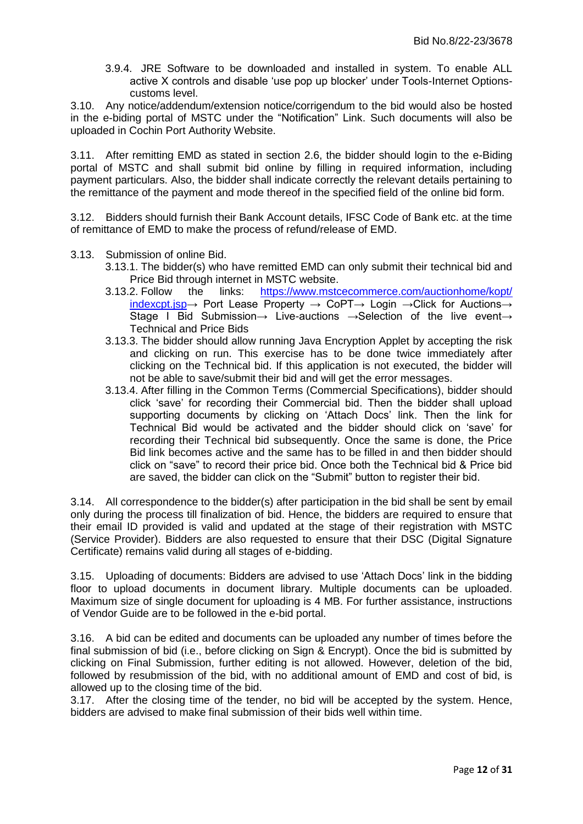3.9.4. JRE Software to be downloaded and installed in system. To enable ALL active X controls and disable "use pop up blocker" under Tools-Internet Optionscustoms level.

3.10. Any notice/addendum/extension notice/corrigendum to the bid would also be hosted in the e-biding portal of MSTC under the "Notification" Link. Such documents will also be uploaded in Cochin Port Authority Website.

3.11. After remitting EMD as stated in section [2.6,](#page-5-0) the bidder should login to the e-Biding portal of MSTC and shall submit bid online by filling in required information, including payment particulars. Also, the bidder shall indicate correctly the relevant details pertaining to the remittance of the payment and mode thereof in the specified field of the online bid form.

3.12. Bidders should furnish their Bank Account details, IFSC Code of Bank etc. at the time of remittance of EMD to make the process of refund/release of EMD.

- 3.13. Submission of online Bid.
	- 3.13.1. The bidder(s) who have remitted EMD can only submit their technical bid and Price Bid through internet in MSTC website.
	- 3.13.2. Follow the links: [https://www.mstcecommerce.com/auctionhome/kopt/](https://www.mstcecommerce.com/auctionhome/kopt/%20indexcpt.jsp) [indexcpt.jsp→](https://www.mstcecommerce.com/auctionhome/kopt/%20indexcpt.jsp) Port Lease Property → CoPT→ Login →Click for Auctions→ Stage I Bid Submission→ Live-auctions →Selection of the live event→ Technical and Price Bids
	- 3.13.3. The bidder should allow running Java Encryption Applet by accepting the risk and clicking on run. This exercise has to be done twice immediately after clicking on the Technical bid. If this application is not executed, the bidder will not be able to save/submit their bid and will get the error messages.
	- 3.13.4. After filling in the Common Terms (Commercial Specifications), bidder should click "save" for recording their Commercial bid. Then the bidder shall upload supporting documents by clicking on "Attach Docs" link. Then the link for Technical Bid would be activated and the bidder should click on "save" for recording their Technical bid subsequently. Once the same is done, the Price Bid link becomes active and the same has to be filled in and then bidder should click on "save" to record their price bid. Once both the Technical bid & Price bid are saved, the bidder can click on the "Submit" button to register their bid.

3.14. All correspondence to the bidder(s) after participation in the bid shall be sent by email only during the process till finalization of bid. Hence, the bidders are required to ensure that their email ID provided is valid and updated at the stage of their registration with MSTC (Service Provider). Bidders are also requested to ensure that their DSC (Digital Signature Certificate) remains valid during all stages of e-bidding.

3.15. Uploading of documents: Bidders are advised to use "Attach Docs" link in the bidding floor to upload documents in document library. Multiple documents can be uploaded. Maximum size of single document for uploading is 4 MB. For further assistance, instructions of Vendor Guide are to be followed in the e-bid portal.

3.16. A bid can be edited and documents can be uploaded any number of times before the final submission of bid (i.e., before clicking on Sign & Encrypt). Once the bid is submitted by clicking on Final Submission, further editing is not allowed. However, deletion of the bid, followed by resubmission of the bid, with no additional amount of EMD and cost of bid, is allowed up to the closing time of the bid.

3.17. After the closing time of the tender, no bid will be accepted by the system. Hence, bidders are advised to make final submission of their bids well within time.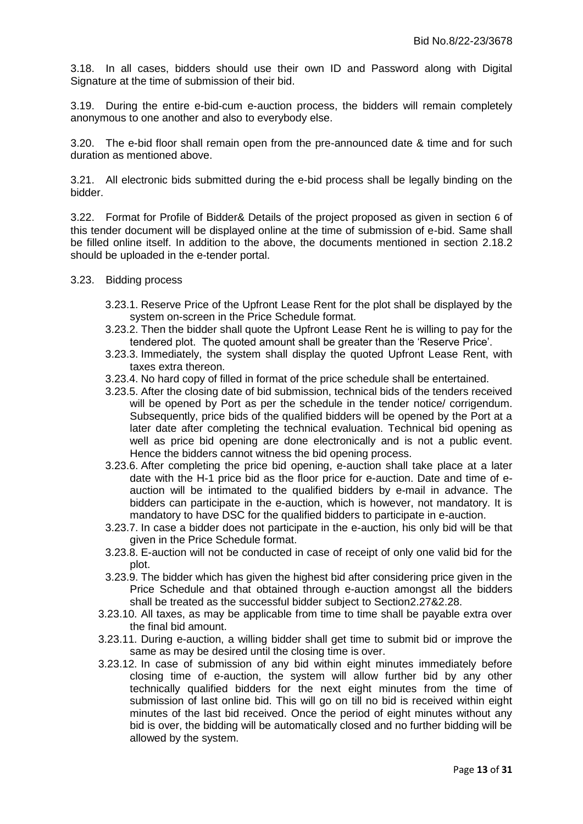3.18. In all cases, bidders should use their own ID and Password along with Digital Signature at the time of submission of their bid.

3.19. During the entire e-bid-cum e-auction process, the bidders will remain completely anonymous to one another and also to everybody else.

3.20. The e-bid floor shall remain open from the pre-announced date & time and for such duration as mentioned above.

3.21. All electronic bids submitted during the e-bid process shall be legally binding on the bidder.

3.22. Format for [Profile of Bidder& Details of the project proposed](#page-16-0) as given in section [6](#page-16-0) of this tender document will be displayed online at the time of submission of e-bid. Same shall be filled online itself. In addition to the above, the documents mentioned in section [2.18.2](#page-7-0) should be uploaded in the e-tender portal.

- 3.23. Bidding process
	- 3.23.1. Reserve Price of the Upfront Lease Rent for the plot shall be displayed by the system on-screen in the Price Schedule format.
	- 3.23.2. Then the bidder shall quote the Upfront Lease Rent he is willing to pay for the tendered plot. The quoted amount shall be greater than the "Reserve Price".
	- 3.23.3. Immediately, the system shall display the quoted Upfront Lease Rent, with taxes extra thereon.
	- 3.23.4. No hard copy of filled in format of the price schedule shall be entertained.
	- 3.23.5. After the closing date of bid submission, technical bids of the tenders received will be opened by Port as per the schedule in the tender notice/ corrigendum. Subsequently, price bids of the qualified bidders will be opened by the Port at a later date after completing the technical evaluation. Technical bid opening as well as price bid opening are done electronically and is not a public event. Hence the bidders cannot witness the bid opening process.
	- 3.23.6. After completing the price bid opening, e-auction shall take place at a later date with the H-1 price bid as the floor price for e-auction. Date and time of eauction will be intimated to the qualified bidders by e-mail in advance. The bidders can participate in the e-auction, which is however, not mandatory. It is mandatory to have DSC for the qualified bidders to participate in e-auction.
	- 3.23.7. In case a bidder does not participate in the e-auction, his only bid will be that given in the Price Schedule format.
	- 3.23.8. E-auction will not be conducted in case of receipt of only one valid bid for the plot.
	- 3.23.9. The bidder which has given the highest bid after considering price given in the Price Schedule and that obtained through e-auction amongst all the bidders shall be treated as the successful bidder subject to Sectio[n2.27](#page-8-3)[&2.28.](#page-8-2)
	- 3.23.10. All taxes, as may be applicable from time to time shall be payable extra over the final bid amount.
	- 3.23.11. During e-auction, a willing bidder shall get time to submit bid or improve the same as may be desired until the closing time is over.
	- 3.23.12. In case of submission of any bid within eight minutes immediately before closing time of e-auction, the system will allow further bid by any other technically qualified bidders for the next eight minutes from the time of submission of last online bid. This will go on till no bid is received within eight minutes of the last bid received. Once the period of eight minutes without any bid is over, the bidding will be automatically closed and no further bidding will be allowed by the system.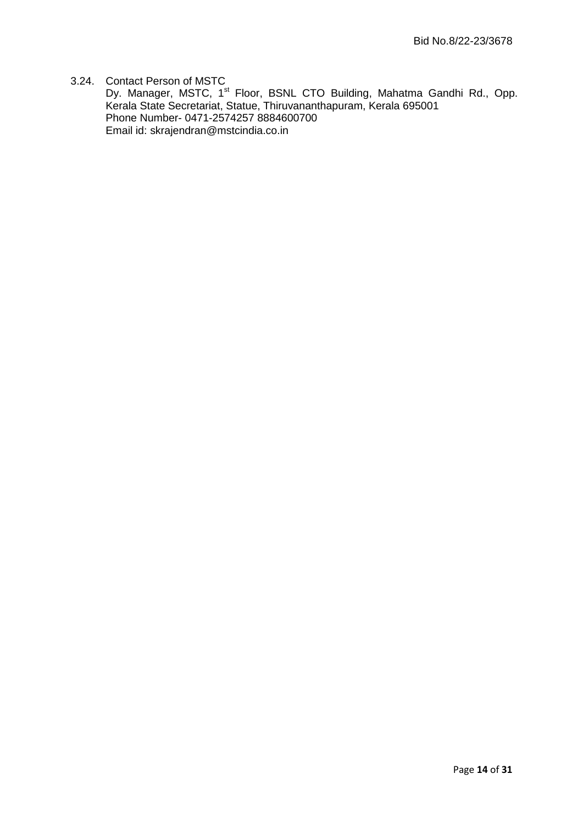## <span id="page-13-0"></span>3.24. Contact Person of MSTC

Dy. Manager, MSTC, 1<sup>st</sup> Floor, BSNL CTO Building, Mahatma Gandhi Rd., Opp. Kerala State Secretariat, Statue, Thiruvananthapuram, Kerala 695001 Phone Number- 0471-2574257 8884600700 Email id: [skrajendran@mstcindia.co.in](mailto:skrajendran@mstcindia.co.in)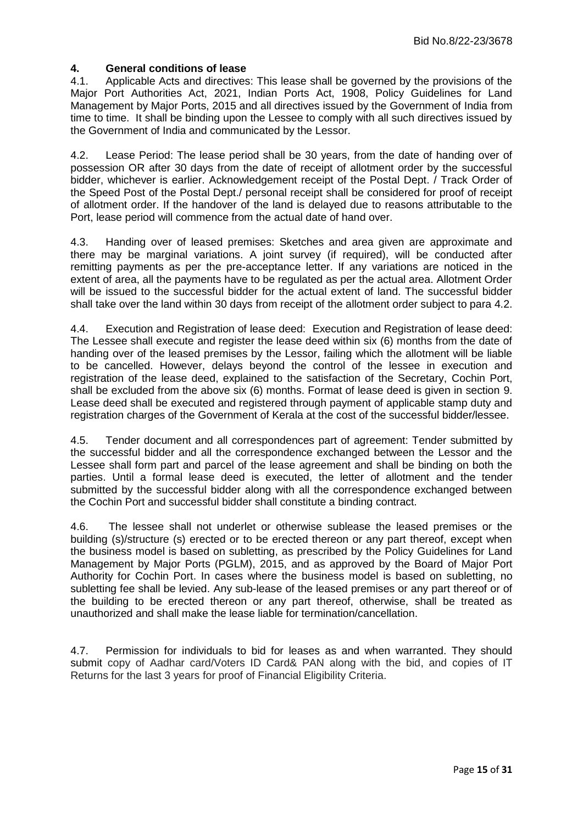#### <span id="page-14-0"></span>**4. General conditions of lease**

4.1. Applicable Acts and directives: This lease shall be governed by the provisions of the Major Port Authorities Act, 2021, Indian Ports Act, 1908, Policy Guidelines for Land Management by Major Ports, 2015 and all directives issued by the Government of India from time to time. It shall be binding upon the Lessee to comply with all such directives issued by the Government of India and communicated by the Lessor.

<span id="page-14-1"></span>4.2. Lease Period: The lease period shall be 30 years, from the date of handing over of possession OR after 30 days from the date of receipt of allotment order by the successful bidder, whichever is earlier. Acknowledgement receipt of the Postal Dept. / Track Order of the Speed Post of the Postal Dept./ personal receipt shall be considered for proof of receipt of allotment order. If the handover of the land is delayed due to reasons attributable to the Port, lease period will commence from the actual date of hand over.

4.3. Handing over of leased premises: Sketches and area given are approximate and there may be marginal variations. A joint survey (if required), will be conducted after remitting payments as per the pre-acceptance letter. If any variations are noticed in the extent of area, all the payments have to be regulated as per the actual area. Allotment Order will be issued to the successful bidder for the actual extent of land. The successful bidder shall take over the land within 30 days from receipt of the allotment order subject to para [4.2.](#page-14-1)

4.4. Execution and Registration of lease deed: Execution and Registration of lease deed: The Lessee shall execute and register the lease deed within six (6) months from the date of handing over of the leased premises by the Lessor, failing which the allotment will be liable to be cancelled. However, delays beyond the control of the lessee in execution and registration of the lease deed, explained to the satisfaction of the Secretary, Cochin Port, shall be excluded from the above six (6) months. Format of lease deed is given in section [9.](#page-19-0) Lease deed shall be executed and registered through payment of applicable stamp duty and registration charges of the Government of Kerala at the cost of the successful bidder/lessee.

4.5. Tender document and all correspondences part of agreement: Tender submitted by the successful bidder and all the correspondence exchanged between the Lessor and the Lessee shall form part and parcel of the lease agreement and shall be binding on both the parties. Until a formal lease deed is executed, the letter of allotment and the tender submitted by the successful bidder along with all the correspondence exchanged between the Cochin Port and successful bidder shall constitute a binding contract.

4.6. The lessee shall not underlet or otherwise sublease the leased premises or the building (s)/structure (s) erected or to be erected thereon or any part thereof, except when the business model is based on subletting, as prescribed by the Policy Guidelines for Land Management by Major Ports (PGLM), 2015, and as approved by the Board of Major Port Authority for Cochin Port. In cases where the business model is based on subletting, no subletting fee shall be levied. Any sub-lease of the leased premises or any part thereof or of the building to be erected thereon or any part thereof, otherwise, shall be treated as unauthorized and shall make the lease liable for termination/cancellation.

4.7. Permission for individuals to bid for leases as and when warranted. They should submit copy of Aadhar card/Voters ID Card& PAN along with the bid, and copies of IT Returns for the last 3 years for proof of Financial Eligibility Criteria.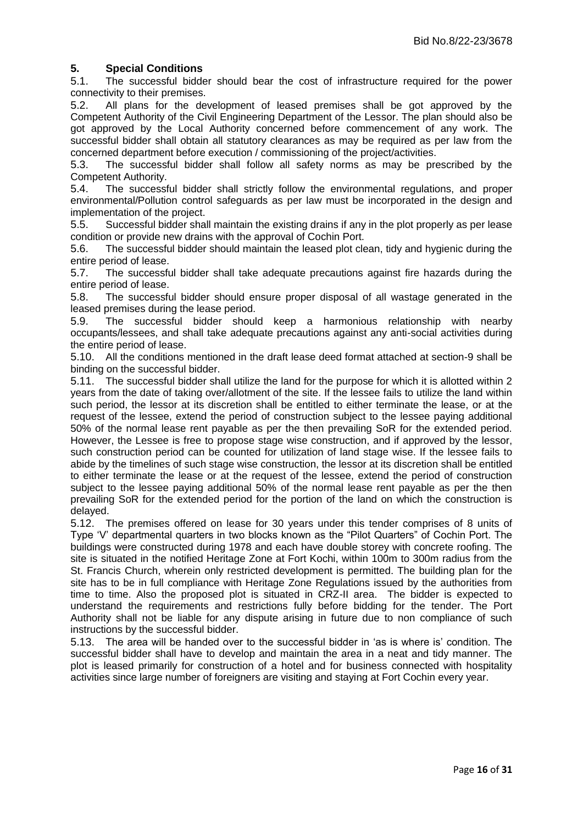## **5. Special Conditions**

<span id="page-15-0"></span>5.1. The successful bidder should bear the cost of infrastructure required for the power connectivity to their premises.

5.2. All plans for the development of leased premises shall be got approved by the Competent Authority of the Civil Engineering Department of the Lessor. The plan should also be got approved by the Local Authority concerned before commencement of any work. The successful bidder shall obtain all statutory clearances as may be required as per law from the concerned department before execution / commissioning of the project/activities.

5.3. The successful bidder shall follow all safety norms as may be prescribed by the Competent Authority.

5.4. The successful bidder shall strictly follow the environmental regulations, and proper environmental/Pollution control safeguards as per law must be incorporated in the design and implementation of the project.

5.5. Successful bidder shall maintain the existing drains if any in the plot properly as per lease condition or provide new drains with the approval of Cochin Port.

5.6. The successful bidder should maintain the leased plot clean, tidy and hygienic during the entire period of lease.

5.7. The successful bidder shall take adequate precautions against fire hazards during the entire period of lease.

5.8. The successful bidder should ensure proper disposal of all wastage generated in the leased premises during the lease period.

5.9. The successful bidder should keep a harmonious relationship with nearby occupants/lessees, and shall take adequate precautions against any anti-social activities during the entire period of lease.

5.10. All the conditions mentioned in the draft lease deed format attached at section[-9](#page-19-0) shall be binding on the successful bidder.

5.11. The successful bidder shall utilize the land for the purpose for which it is allotted within 2 years from the date of taking over/allotment of the site. If the lessee fails to utilize the land within such period, the lessor at its discretion shall be entitled to either terminate the lease, or at the request of the lessee, extend the period of construction subject to the lessee paying additional 50% of the normal lease rent payable as per the then prevailing SoR for the extended period. However, the Lessee is free to propose stage wise construction, and if approved by the lessor, such construction period can be counted for utilization of land stage wise. If the lessee fails to abide by the timelines of such stage wise construction, the lessor at its discretion shall be entitled to either terminate the lease or at the request of the lessee, extend the period of construction subject to the lessee paying additional 50% of the normal lease rent payable as per the then prevailing SoR for the extended period for the portion of the land on which the construction is delayed.

5.12. The premises offered on lease for 30 years under this tender comprises of 8 units of Type "V" departmental quarters in two blocks known as the "Pilot Quarters" of Cochin Port. The buildings were constructed during 1978 and each have double storey with concrete roofing. The site is situated in the notified Heritage Zone at Fort Kochi, within 100m to 300m radius from the St. Francis Church, wherein only restricted development is permitted. The building plan for the site has to be in full compliance with Heritage Zone Regulations issued by the authorities from time to time. Also the proposed plot is situated in CRZ-II area. The bidder is expected to understand the requirements and restrictions fully before bidding for the tender. The Port Authority shall not be liable for any dispute arising in future due to non compliance of such instructions by the successful bidder.

5.13. The area will be handed over to the successful bidder in "as is where is" condition. The successful bidder shall have to develop and maintain the area in a neat and tidy manner. The plot is leased primarily for construction of a hotel and for business connected with hospitality activities since large number of foreigners are visiting and staying at Fort Cochin every year.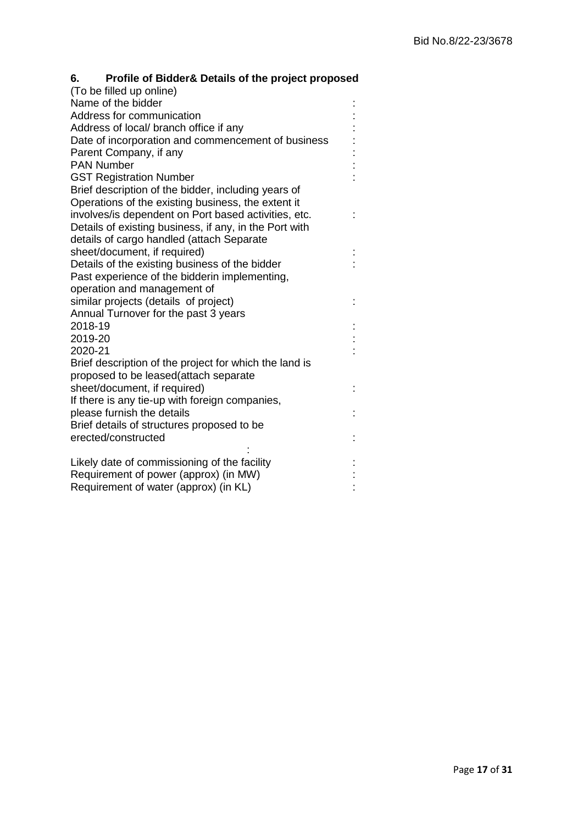<span id="page-16-0"></span>

| 6. | Profile of Bidder& Details of the project proposed |
|----|----------------------------------------------------|
|----|----------------------------------------------------|

| (To be filled up online)                               |  |
|--------------------------------------------------------|--|
| Name of the bidder                                     |  |
| Address for communication                              |  |
| Address of local/ branch office if any                 |  |
| Date of incorporation and commencement of business     |  |
| Parent Company, if any                                 |  |
| <b>PAN Number</b>                                      |  |
| <b>GST Registration Number</b>                         |  |
| Brief description of the bidder, including years of    |  |
| Operations of the existing business, the extent it     |  |
| involves/is dependent on Port based activities, etc.   |  |
| Details of existing business, if any, in the Port with |  |
| details of cargo handled (attach Separate              |  |
| sheet/document, if required)                           |  |
| Details of the existing business of the bidder         |  |
| Past experience of the bidderin implementing,          |  |
| operation and management of                            |  |
| similar projects (details of project)                  |  |
| Annual Turnover for the past 3 years                   |  |
| 2018-19                                                |  |
| 2019-20                                                |  |
| 2020-21                                                |  |
| Brief description of the project for which the land is |  |
| proposed to be leased(attach separate                  |  |
| sheet/document, if required)                           |  |
| If there is any tie-up with foreign companies,         |  |
| please furnish the details                             |  |
| Brief details of structures proposed to be             |  |
| erected/constructed                                    |  |
| Likely date of commissioning of the facility           |  |
| Requirement of power (approx) (in MW)                  |  |
| Requirement of water (approx) (in KL)                  |  |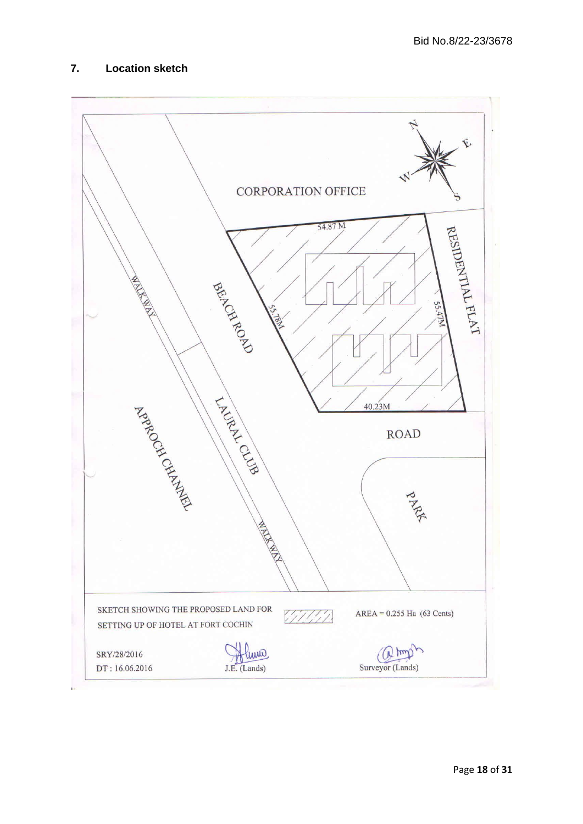## <span id="page-17-0"></span>**7. Location sketch**

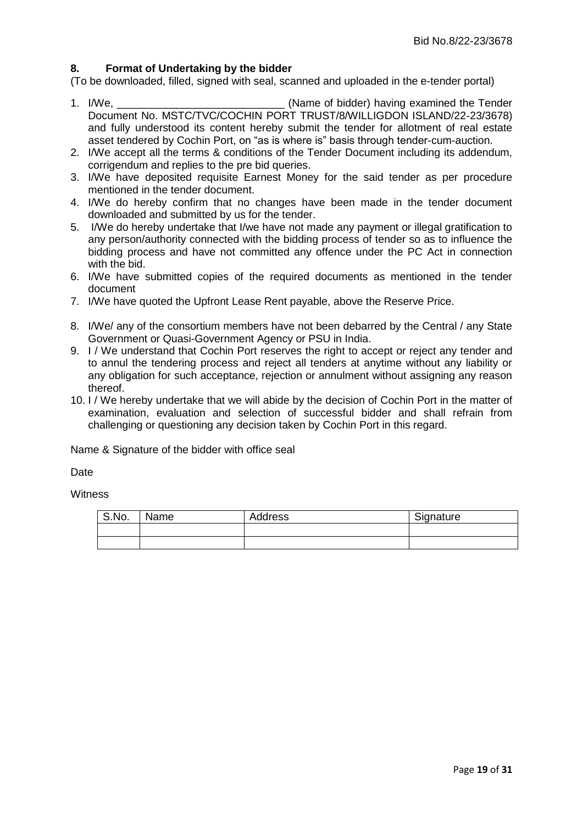## <span id="page-18-0"></span>**8. Format of Undertaking by the bidder**

(To be downloaded, filled, signed with seal, scanned and uploaded in the e-tender portal)

- 1. I/We, the contract in the contract of bidder) having examined the Tender Document No. [MSTC/TVC/COCHIN PORT TRUST/8/WILLIGDON ISLAND/22-23/3678\)](#page-0-0) and fully understood its content hereby submit the tender for allotment of real estate asset tendered by Cochin Port, on "as is where is" basis through tender-cum-auction.
- 2. I/We accept all the terms & conditions of the Tender Document including its addendum, corrigendum and replies to the pre bid queries.
- 3. I/We have deposited requisite Earnest Money for the said tender as per procedure mentioned in the tender document.
- 4. I/We do hereby confirm that no changes have been made in the tender document downloaded and submitted by us for the tender.
- 5. I/We do hereby undertake that I/we have not made any payment or illegal gratification to any person/authority connected with the bidding process of tender so as to influence the bidding process and have not committed any offence under the PC Act in connection with the bid.
- 6. I/We have submitted copies of the required documents as mentioned in the tender document
- 7. I/We have quoted the Upfront Lease Rent payable, above the Reserve Price.
- 8. I/We/ any of the consortium members have not been debarred by the Central / any State Government or Quasi-Government Agency or PSU in India.
- 9. I / We understand that Cochin Port reserves the right to accept or reject any tender and to annul the tendering process and reject all tenders at anytime without any liability or any obligation for such acceptance, rejection or annulment without assigning any reason thereof.
- 10. I / We hereby undertake that we will abide by the decision of Cochin Port in the matter of examination, evaluation and selection of successful bidder and shall refrain from challenging or questioning any decision taken by Cochin Port in this regard.

Name & Signature of the bidder with office seal

Date

**Witness** 

| S.No. | Name | Address | Signature |
|-------|------|---------|-----------|
|       |      |         |           |
|       |      |         |           |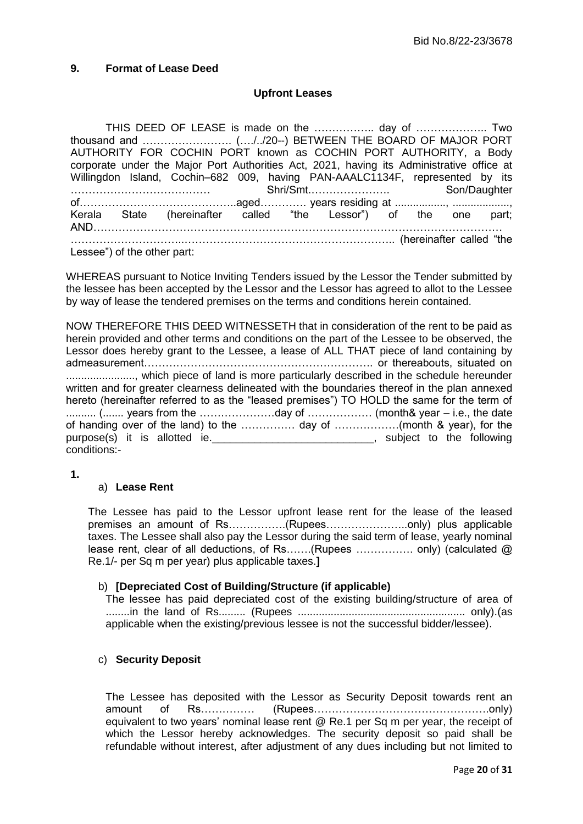## <span id="page-19-0"></span>**9. Format of Lease Deed**

## **Upfront Leases**

THIS DEED OF LEASE is made on the …………….. day of ……………….. Two thousand and ……………………. (…./../20--) BETWEEN THE BOARD OF MAJOR PORT AUTHORITY FOR COCHIN PORT known as COCHIN PORT AUTHORITY, a Body corporate under the Major Port Authorities Act, 2021, having its Administrative office at Willingdon Island, Cochin–682 009, having PAN-AAALC1134F, represented by its ………………………………… Shri/Smt.…………………. Son/Daughter of……………………………………..aged…………. years residing at ................., ..................., Kerala State (hereinafter called "the Lessor") of the one part; AND…………………………………………………………………………………………………… …………………………..………………………………………………….. (hereinafter called "the Lessee") of the other part:

WHEREAS pursuant to Notice Inviting Tenders issued by the Lessor the Tender submitted by the lessee has been accepted by the Lessor and the Lessor has agreed to allot to the Lessee by way of lease the tendered premises on the terms and conditions herein contained.

NOW THEREFORE THIS DEED WITNESSETH that in consideration of the rent to be paid as herein provided and other terms and conditions on the part of the Lessee to be observed, the Lessor does hereby grant to the Lessee, a lease of ALL THAT piece of land containing by admeasurement………………………………………………………. or thereabouts, situated on ......................., which piece of land is more particularly described in the schedule hereunder written and for greater clearness delineated with the boundaries thereof in the plan annexed hereto (hereinafter referred to as the "leased premises") TO HOLD the same for the term of .......... (....... years from the …………………day of ……………… (month& year – i.e., the date of handing over of the land) to the …………… day of ………………(month & year), for the purpose(s) it is allotted ie. **Example 20** is the following purpose(s) it is allotted ie. conditions:-

**1.**

## a) **Lease Rent**

The Lessee has paid to the Lessor upfront lease rent for the lease of the leased premises an amount of Rs…………….(Rupees…………………..only) plus applicable taxes. The Lessee shall also pay the Lessor during the said term of lease, yearly nominal lease rent, clear of all deductions, of Rs…….(Rupees ……………. only) (calculated @ Re.1/- per Sq m per year) plus applicable taxes.**]**

#### b) **[Depreciated Cost of Building/Structure (if applicable)**

The lessee has paid depreciated cost of the existing building/structure of area of ........in the land of Rs......... (Rupees ........................................................ only).(as applicable when the existing/previous lessee is not the successful bidder/lessee).

## c) **Security Deposit**

The Lessee has deposited with the Lessor as Security Deposit towards rent an amount of Rs…………… (Rupees………………………………………….only) equivalent to two years" nominal lease rent @ Re.1 per Sq m per year, the receipt of which the Lessor hereby acknowledges. The security deposit so paid shall be refundable without interest, after adjustment of any dues including but not limited to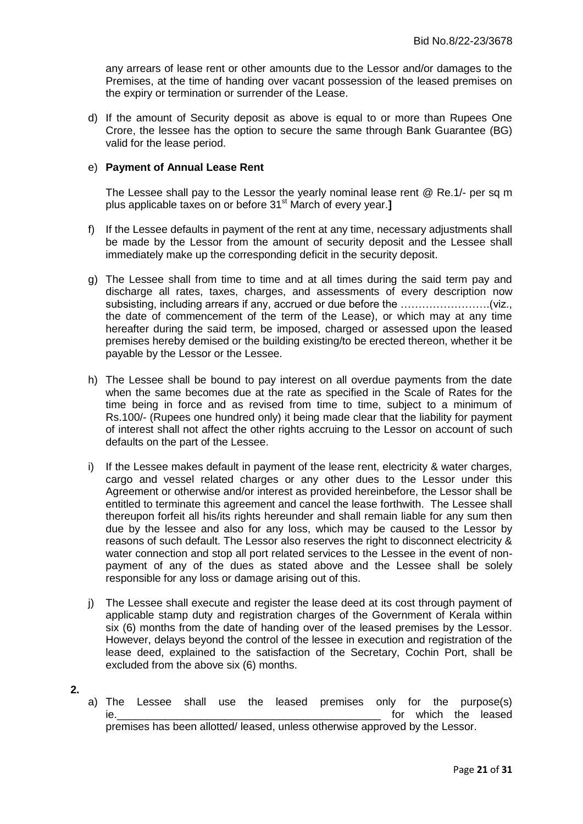any arrears of lease rent or other amounts due to the Lessor and/or damages to the Premises, at the time of handing over vacant possession of the leased premises on the expiry or termination or surrender of the Lease.

d) If the amount of Security deposit as above is equal to or more than Rupees One Crore, the lessee has the option to secure the same through Bank Guarantee (BG) valid for the lease period.

#### e) **Payment of Annual Lease Rent**

The Lessee shall pay to the Lessor the yearly nominal lease rent @ Re.1/- per sq m plus applicable taxes on or before 31st March of every year.**]**

- f) If the Lessee defaults in payment of the rent at any time, necessary adjustments shall be made by the Lessor from the amount of security deposit and the Lessee shall immediately make up the corresponding deficit in the security deposit.
- g) The Lessee shall from time to time and at all times during the said term pay and discharge all rates, taxes, charges, and assessments of every description now subsisting, including arrears if any, accrued or due before the …………………….(viz., the date of commencement of the term of the Lease), or which may at any time hereafter during the said term, be imposed, charged or assessed upon the leased premises hereby demised or the building existing/to be erected thereon, whether it be payable by the Lessor or the Lessee.
- h) The Lessee shall be bound to pay interest on all overdue payments from the date when the same becomes due at the rate as specified in the Scale of Rates for the time being in force and as revised from time to time, subject to a minimum of Rs.100/- (Rupees one hundred only) it being made clear that the liability for payment of interest shall not affect the other rights accruing to the Lessor on account of such defaults on the part of the Lessee.
- i) If the Lessee makes default in payment of the lease rent, electricity  $\&$  water charges, cargo and vessel related charges or any other dues to the Lessor under this Agreement or otherwise and/or interest as provided hereinbefore, the Lessor shall be entitled to terminate this agreement and cancel the lease forthwith. The Lessee shall thereupon forfeit all his/its rights hereunder and shall remain liable for any sum then due by the lessee and also for any loss, which may be caused to the Lessor by reasons of such default. The Lessor also reserves the right to disconnect electricity & water connection and stop all port related services to the Lessee in the event of nonpayment of any of the dues as stated above and the Lessee shall be solely responsible for any loss or damage arising out of this.
- j) The Lessee shall execute and register the lease deed at its cost through payment of applicable stamp duty and registration charges of the Government of Kerala within six (6) months from the date of handing over of the leased premises by the Lessor. However, delays beyond the control of the lessee in execution and registration of the lease deed, explained to the satisfaction of the Secretary, Cochin Port, shall be excluded from the above six (6) months.
- **2.**
- a) The Lessee shall use the leased premises only for the purpose(s) ie. The contract of the leased is the contract of the leased is the leased in the leased in the leased in the leased premises has been allotted/ leased, unless otherwise approved by the Lessor.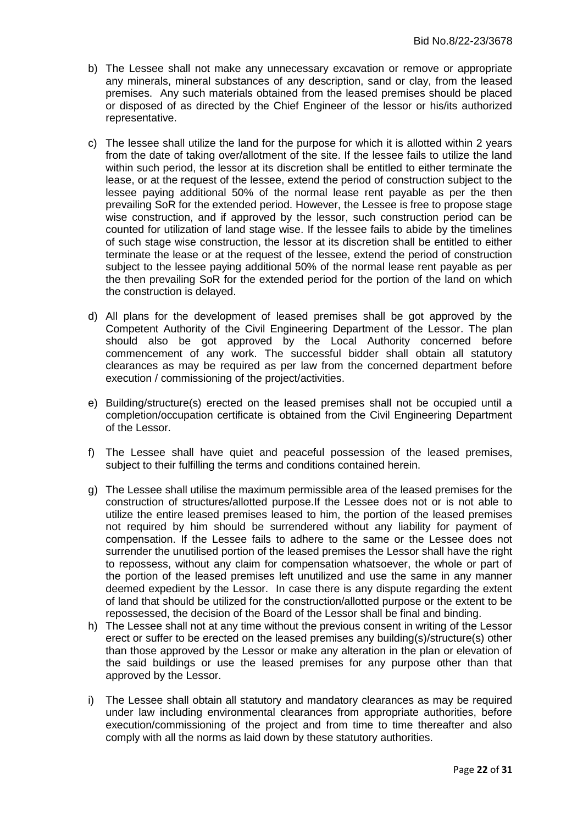- b) The Lessee shall not make any unnecessary excavation or remove or appropriate any minerals, mineral substances of any description, sand or clay, from the leased premises. Any such materials obtained from the leased premises should be placed or disposed of as directed by the Chief Engineer of the lessor or his/its authorized representative.
- c) The lessee shall utilize the land for the purpose for which it is allotted within 2 years from the date of taking over/allotment of the site. If the lessee fails to utilize the land within such period, the lessor at its discretion shall be entitled to either terminate the lease, or at the request of the lessee, extend the period of construction subject to the lessee paying additional 50% of the normal lease rent payable as per the then prevailing SoR for the extended period. However, the Lessee is free to propose stage wise construction, and if approved by the lessor, such construction period can be counted for utilization of land stage wise. If the lessee fails to abide by the timelines of such stage wise construction, the lessor at its discretion shall be entitled to either terminate the lease or at the request of the lessee, extend the period of construction subject to the lessee paying additional 50% of the normal lease rent payable as per the then prevailing SoR for the extended period for the portion of the land on which the construction is delayed.
- d) All plans for the development of leased premises shall be got approved by the Competent Authority of the Civil Engineering Department of the Lessor. The plan should also be got approved by the Local Authority concerned before commencement of any work. The successful bidder shall obtain all statutory clearances as may be required as per law from the concerned department before execution / commissioning of the project/activities.
- e) Building/structure(s) erected on the leased premises shall not be occupied until a completion/occupation certificate is obtained from the Civil Engineering Department of the Lessor.
- f) The Lessee shall have quiet and peaceful possession of the leased premises, subject to their fulfilling the terms and conditions contained herein.
- g) The Lessee shall utilise the maximum permissible area of the leased premises for the construction of structures/allotted purpose.If the Lessee does not or is not able to utilize the entire leased premises leased to him, the portion of the leased premises not required by him should be surrendered without any liability for payment of compensation. If the Lessee fails to adhere to the same or the Lessee does not surrender the unutilised portion of the leased premises the Lessor shall have the right to repossess, without any claim for compensation whatsoever, the whole or part of the portion of the leased premises left unutilized and use the same in any manner deemed expedient by the Lessor. In case there is any dispute regarding the extent of land that should be utilized for the construction/allotted purpose or the extent to be repossessed, the decision of the Board of the Lessor shall be final and binding.
- h) The Lessee shall not at any time without the previous consent in writing of the Lessor erect or suffer to be erected on the leased premises any building(s)/structure(s) other than those approved by the Lessor or make any alteration in the plan or elevation of the said buildings or use the leased premises for any purpose other than that approved by the Lessor.
- i) The Lessee shall obtain all statutory and mandatory clearances as may be required under law including environmental clearances from appropriate authorities, before execution/commissioning of the project and from time to time thereafter and also comply with all the norms as laid down by these statutory authorities.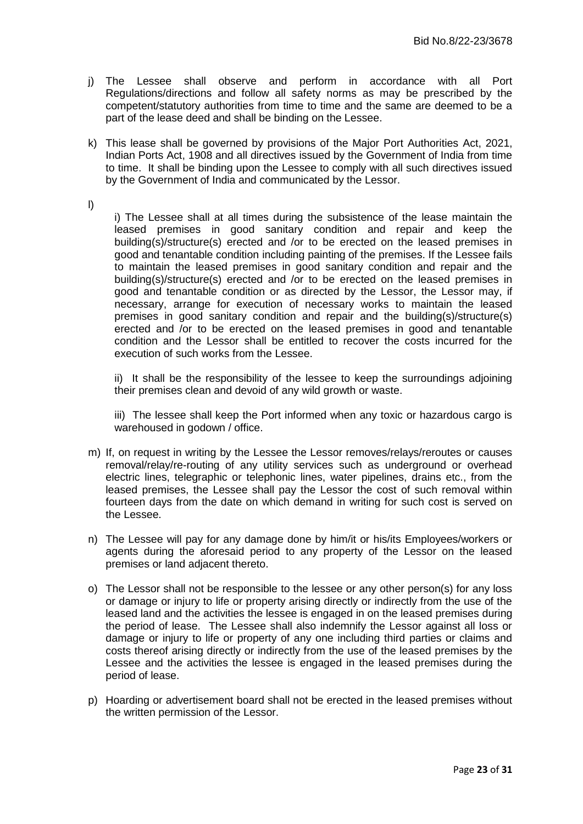- j) The Lessee shall observe and perform in accordance with all Port Regulations/directions and follow all safety norms as may be prescribed by the competent/statutory authorities from time to time and the same are deemed to be a part of the lease deed and shall be binding on the Lessee.
- k) This lease shall be governed by provisions of the Major Port Authorities Act, 2021, Indian Ports Act, 1908 and all directives issued by the Government of India from time to time. It shall be binding upon the Lessee to comply with all such directives issued by the Government of India and communicated by the Lessor.
- l)

i) The Lessee shall at all times during the subsistence of the lease maintain the leased premises in good sanitary condition and repair and keep the building(s)/structure(s) erected and /or to be erected on the leased premises in good and tenantable condition including painting of the premises. If the Lessee fails to maintain the leased premises in good sanitary condition and repair and the building(s)/structure(s) erected and /or to be erected on the leased premises in good and tenantable condition or as directed by the Lessor, the Lessor may, if necessary, arrange for execution of necessary works to maintain the leased premises in good sanitary condition and repair and the building(s)/structure(s) erected and /or to be erected on the leased premises in good and tenantable condition and the Lessor shall be entitled to recover the costs incurred for the execution of such works from the Lessee.

ii) It shall be the responsibility of the lessee to keep the surroundings adjoining their premises clean and devoid of any wild growth or waste.

iii) The lessee shall keep the Port informed when any toxic or hazardous cargo is warehoused in godown / office.

- m) If, on request in writing by the Lessee the Lessor removes/relays/reroutes or causes removal/relay/re-routing of any utility services such as underground or overhead electric lines, telegraphic or telephonic lines, water pipelines, drains etc., from the leased premises, the Lessee shall pay the Lessor the cost of such removal within fourteen days from the date on which demand in writing for such cost is served on the Lessee.
- n) The Lessee will pay for any damage done by him/it or his/its Employees/workers or agents during the aforesaid period to any property of the Lessor on the leased premises or land adjacent thereto.
- o) The Lessor shall not be responsible to the lessee or any other person(s) for any loss or damage or injury to life or property arising directly or indirectly from the use of the leased land and the activities the lessee is engaged in on the leased premises during the period of lease. The Lessee shall also indemnify the Lessor against all loss or damage or injury to life or property of any one including third parties or claims and costs thereof arising directly or indirectly from the use of the leased premises by the Lessee and the activities the lessee is engaged in the leased premises during the period of lease.
- p) Hoarding or advertisement board shall not be erected in the leased premises without the written permission of the Lessor.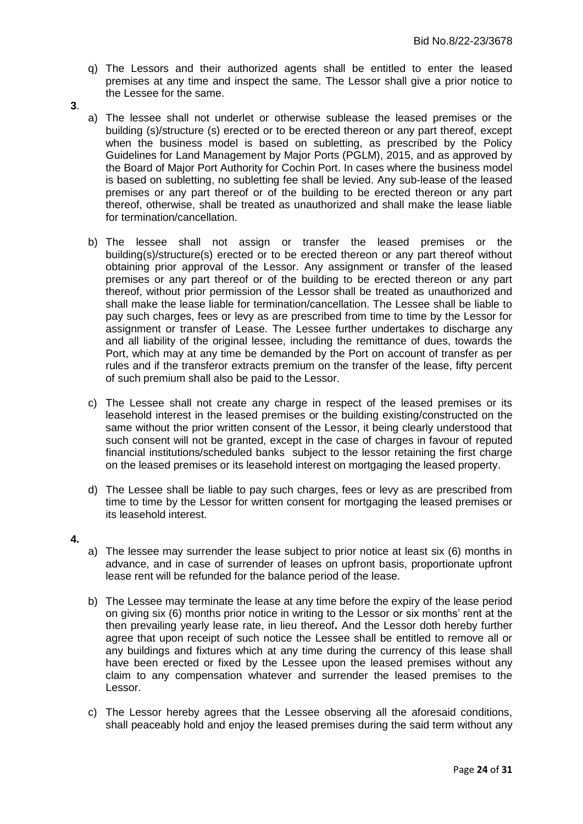- q) The Lessors and their authorized agents shall be entitled to enter the leased premises at any time and inspect the same. The Lessor shall give a prior notice to the Lessee for the same.
- **3**.
- a) The lessee shall not underlet or otherwise sublease the leased premises or the building (s)/structure (s) erected or to be erected thereon or any part thereof, except when the business model is based on subletting, as prescribed by the Policy Guidelines for Land Management by Major Ports (PGLM), 2015, and as approved by the Board of Major Port Authority for Cochin Port. In cases where the business model is based on subletting, no subletting fee shall be levied. Any sub-lease of the leased premises or any part thereof or of the building to be erected thereon or any part thereof, otherwise, shall be treated as unauthorized and shall make the lease liable for termination/cancellation.
- b) The lessee shall not assign or transfer the leased premises or the building(s)/structure(s) erected or to be erected thereon or any part thereof without obtaining prior approval of the Lessor. Any assignment or transfer of the leased premises or any part thereof or of the building to be erected thereon or any part thereof, without prior permission of the Lessor shall be treated as unauthorized and shall make the lease liable for termination/cancellation. The Lessee shall be liable to pay such charges, fees or levy as are prescribed from time to time by the Lessor for assignment or transfer of Lease. The Lessee further undertakes to discharge any and all liability of the original lessee, including the remittance of dues, towards the Port, which may at any time be demanded by the Port on account of transfer as per rules and if the transferor extracts premium on the transfer of the lease, fifty percent of such premium shall also be paid to the Lessor.
- c) The Lessee shall not create any charge in respect of the leased premises or its leasehold interest in the leased premises or the building existing/constructed on the same without the prior written consent of the Lessor, it being clearly understood that such consent will not be granted, except in the case of charges in favour of reputed financial institutions/scheduled banks subject to the lessor retaining the first charge on the leased premises or its leasehold interest on mortgaging the leased property.
- d) The Lessee shall be liable to pay such charges, fees or levy as are prescribed from time to time by the Lessor for written consent for mortgaging the leased premises or its leasehold interest.
- **4.**
- a) The lessee may surrender the lease subject to prior notice at least six (6) months in advance, and in case of surrender of leases on upfront basis, proportionate upfront lease rent will be refunded for the balance period of the lease.
- b) The Lessee may terminate the lease at any time before the expiry of the lease period on giving six (6) months prior notice in writing to the Lessor or six months" rent at the then prevailing yearly lease rate, in lieu thereof**.** And the Lessor doth hereby further agree that upon receipt of such notice the Lessee shall be entitled to remove all or any buildings and fixtures which at any time during the currency of this lease shall have been erected or fixed by the Lessee upon the leased premises without any claim to any compensation whatever and surrender the leased premises to the Lessor.
- c) The Lessor hereby agrees that the Lessee observing all the aforesaid conditions, shall peaceably hold and enjoy the leased premises during the said term without any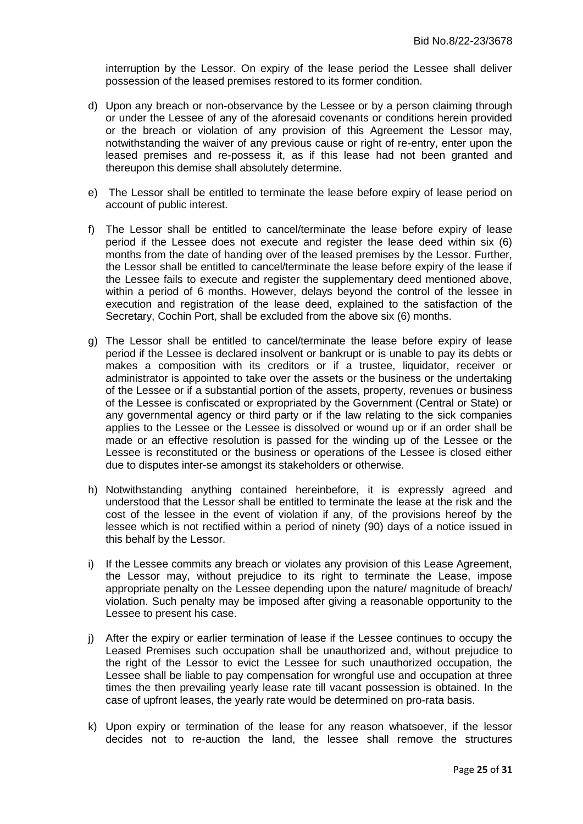interruption by the Lessor. On expiry of the lease period the Lessee shall deliver possession of the leased premises restored to its former condition.

- d) Upon any breach or non-observance by the Lessee or by a person claiming through or under the Lessee of any of the aforesaid covenants or conditions herein provided or the breach or violation of any provision of this Agreement the Lessor may, notwithstanding the waiver of any previous cause or right of re-entry, enter upon the leased premises and re-possess it, as if this lease had not been granted and thereupon this demise shall absolutely determine.
- e) The Lessor shall be entitled to terminate the lease before expiry of lease period on account of public interest.
- f) The Lessor shall be entitled to cancel/terminate the lease before expiry of lease period if the Lessee does not execute and register the lease deed within six (6) months from the date of handing over of the leased premises by the Lessor. Further, the Lessor shall be entitled to cancel/terminate the lease before expiry of the lease if the Lessee fails to execute and register the supplementary deed mentioned above, within a period of 6 months. However, delays beyond the control of the lessee in execution and registration of the lease deed, explained to the satisfaction of the Secretary, Cochin Port, shall be excluded from the above six (6) months.
- g) The Lessor shall be entitled to cancel/terminate the lease before expiry of lease period if the Lessee is declared insolvent or bankrupt or is unable to pay its debts or makes a composition with its creditors or if a trustee, liquidator, receiver or administrator is appointed to take over the assets or the business or the undertaking of the Lessee or if a substantial portion of the assets, property, revenues or business of the Lessee is confiscated or expropriated by the Government (Central or State) or any governmental agency or third party or if the law relating to the sick companies applies to the Lessee or the Lessee is dissolved or wound up or if an order shall be made or an effective resolution is passed for the winding up of the Lessee or the Lessee is reconstituted or the business or operations of the Lessee is closed either due to disputes inter-se amongst its stakeholders or otherwise.
- h) Notwithstanding anything contained hereinbefore, it is expressly agreed and understood that the Lessor shall be entitled to terminate the lease at the risk and the cost of the lessee in the event of violation if any, of the provisions hereof by the lessee which is not rectified within a period of ninety (90) days of a notice issued in this behalf by the Lessor.
- i) If the Lessee commits any breach or violates any provision of this Lease Agreement, the Lessor may, without prejudice to its right to terminate the Lease, impose appropriate penalty on the Lessee depending upon the nature/ magnitude of breach/ violation. Such penalty may be imposed after giving a reasonable opportunity to the Lessee to present his case.
- j) After the expiry or earlier termination of lease if the Lessee continues to occupy the Leased Premises such occupation shall be unauthorized and, without prejudice to the right of the Lessor to evict the Lessee for such unauthorized occupation, the Lessee shall be liable to pay compensation for wrongful use and occupation at three times the then prevailing yearly lease rate till vacant possession is obtained. In the case of upfront leases, the yearly rate would be determined on pro-rata basis.
- k) Upon expiry or termination of the lease for any reason whatsoever, if the lessor decides not to re-auction the land, the lessee shall remove the structures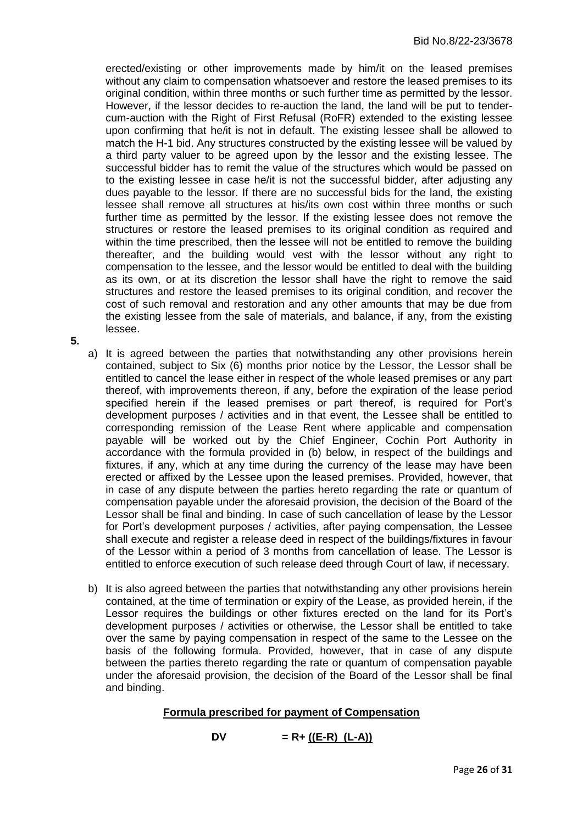erected/existing or other improvements made by him/it on the leased premises without any claim to compensation whatsoever and restore the leased premises to its original condition, within three months or such further time as permitted by the lessor. However, if the lessor decides to re-auction the land, the land will be put to tendercum-auction with the Right of First Refusal (RoFR) extended to the existing lessee upon confirming that he/it is not in default. The existing lessee shall be allowed to match the H-1 bid. Any structures constructed by the existing lessee will be valued by a third party valuer to be agreed upon by the lessor and the existing lessee. The successful bidder has to remit the value of the structures which would be passed on to the existing lessee in case he/it is not the successful bidder, after adjusting any dues payable to the lessor. If there are no successful bids for the land, the existing lessee shall remove all structures at his/its own cost within three months or such further time as permitted by the lessor. If the existing lessee does not remove the structures or restore the leased premises to its original condition as required and within the time prescribed, then the lessee will not be entitled to remove the building thereafter, and the building would vest with the lessor without any right to compensation to the lessee, and the lessor would be entitled to deal with the building as its own, or at its discretion the lessor shall have the right to remove the said structures and restore the leased premises to its original condition, and recover the cost of such removal and restoration and any other amounts that may be due from the existing lessee from the sale of materials, and balance, if any, from the existing lessee.

**5.**

- a) It is agreed between the parties that notwithstanding any other provisions herein contained, subject to Six (6) months prior notice by the Lessor, the Lessor shall be entitled to cancel the lease either in respect of the whole leased premises or any part thereof, with improvements thereon, if any, before the expiration of the lease period specified herein if the leased premises or part thereof, is required for Port"s development purposes / activities and in that event, the Lessee shall be entitled to corresponding remission of the Lease Rent where applicable and compensation payable will be worked out by the Chief Engineer, Cochin Port Authority in accordance with the formula provided in (b) below, in respect of the buildings and fixtures, if any, which at any time during the currency of the lease may have been erected or affixed by the Lessee upon the leased premises. Provided, however, that in case of any dispute between the parties hereto regarding the rate or quantum of compensation payable under the aforesaid provision, the decision of the Board of the Lessor shall be final and binding. In case of such cancellation of lease by the Lessor for Port"s development purposes / activities, after paying compensation, the Lessee shall execute and register a release deed in respect of the buildings/fixtures in favour of the Lessor within a period of 3 months from cancellation of lease. The Lessor is entitled to enforce execution of such release deed through Court of law, if necessary.
- b) It is also agreed between the parties that notwithstanding any other provisions herein contained, at the time of termination or expiry of the Lease, as provided herein, if the Lessor requires the buildings or other fixtures erected on the land for its Port"s development purposes / activities or otherwise, the Lessor shall be entitled to take over the same by paying compensation in respect of the same to the Lessee on the basis of the following formula. Provided, however, that in case of any dispute between the parties thereto regarding the rate or quantum of compensation payable under the aforesaid provision, the decision of the Board of the Lessor shall be final and binding.

## **Formula prescribed for payment of Compensation**

$$
DV = R + ((E-R) (L-A))
$$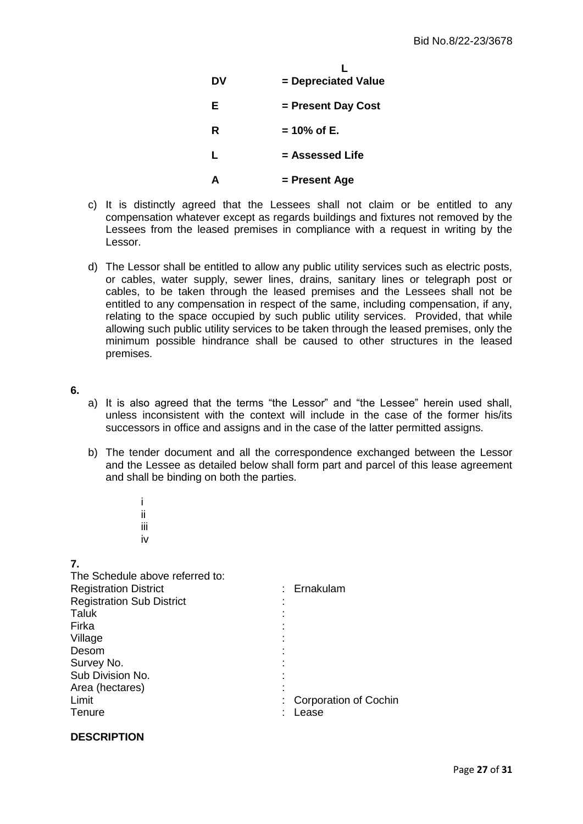| DV | = Depreciated Value |
|----|---------------------|
| Е  | = Present Day Cost  |
| R  | $= 10\%$ of E.      |
| L  | = Assessed Life     |
|    | = Present Age       |

- c) It is distinctly agreed that the Lessees shall not claim or be entitled to any compensation whatever except as regards buildings and fixtures not removed by the Lessees from the leased premises in compliance with a request in writing by the Lessor.
- d) The Lessor shall be entitled to allow any public utility services such as electric posts, or cables, water supply, sewer lines, drains, sanitary lines or telegraph post or cables, to be taken through the leased premises and the Lessees shall not be entitled to any compensation in respect of the same, including compensation, if any, relating to the space occupied by such public utility services. Provided, that while allowing such public utility services to be taken through the leased premises, only the minimum possible hindrance shall be caused to other structures in the leased premises.
- **6.**
- a) It is also agreed that the terms "the Lessor" and "the Lessee" herein used shall, unless inconsistent with the context will include in the case of the former his/its successors in office and assigns and in the case of the latter permitted assigns.
- b) The tender document and all the correspondence exchanged between the Lessor and the Lessee as detailed below shall form part and parcel of this lease agreement and shall be binding on both the parties.
- iii iv **7.** The Schedule above referred to: Registration District **in the Contract Contract Contract Contract Contract Contract Contract Contract Contract Contract Contract Contract Contract Contract Contract Contract Contract Contract Contract Contract Contract Con** Registration Sub District : Taluk : Firka : Village Desom : Survey No. Sub Division No. Area (hectares) Limit  $\qquad \qquad \qquad \qquad$  : Corporation of Cochin<br>Tenure  $\qquad \qquad \qquad \qquad$  : Lease : Lease

# **DESCRIPTION**

i ii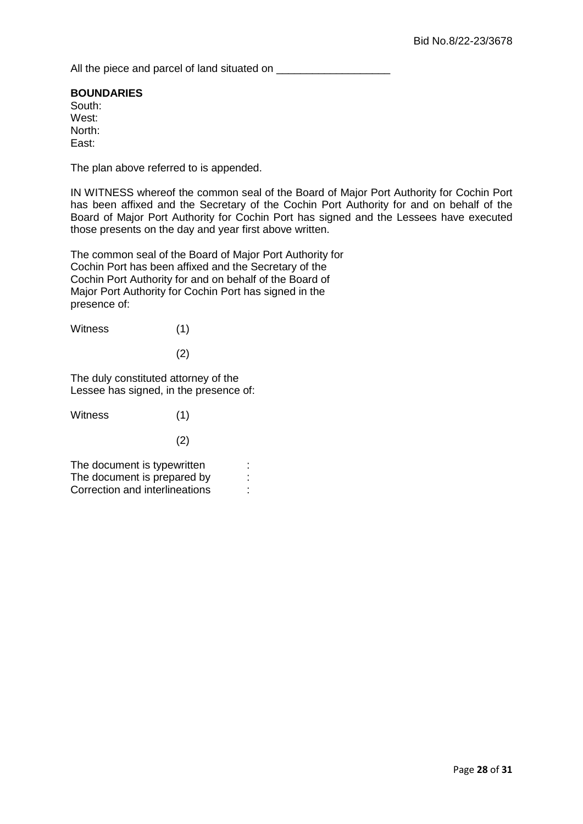All the piece and parcel of land situated on \_\_\_\_\_\_\_\_\_\_\_\_\_\_\_\_\_\_\_

# **BOUNDARIES**

South: West: North: East:

The plan above referred to is appended.

IN WITNESS whereof the common seal of the Board of Major Port Authority for Cochin Port has been affixed and the Secretary of the Cochin Port Authority for and on behalf of the Board of Major Port Authority for Cochin Port has signed and the Lessees have executed those presents on the day and year first above written.

The common seal of the Board of Major Port Authority for Cochin Port has been affixed and the Secretary of the Cochin Port Authority for and on behalf of the Board of Major Port Authority for Cochin Port has signed in the presence of:

| <b>Witness</b> | (1) |
|----------------|-----|
|                |     |

(2)

The duly constituted attorney of the Lessee has signed, in the presence of:

| Witness                        | (1) |  |
|--------------------------------|-----|--|
|                                | (2) |  |
| The document is typewritten    |     |  |
| The document is prepared by    |     |  |
| Correction and interlineations |     |  |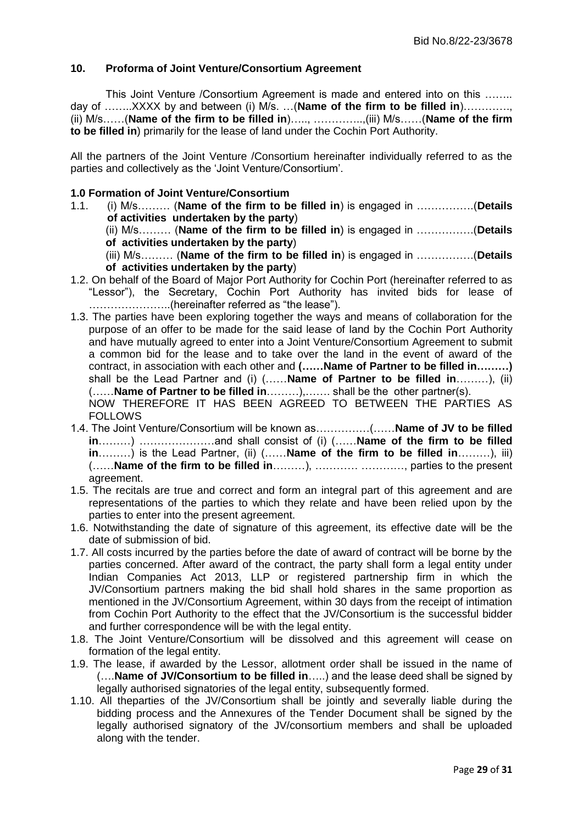#### <span id="page-28-0"></span>**10. Proforma of Joint Venture/Consortium Agreement**

This Joint Venture /Consortium Agreement is made and entered into on this …….. day of ……..XXXX by and between (i) M/s. …(**Name of the firm to be filled in**)…………., (ii) M/s……(**Name of the firm to be filled in**)….., …………..,(iii) M/s……(**Name of the firm to be filled in**) primarily for the lease of land under the Cochin Port Authority.

All the partners of the Joint Venture /Consortium hereinafter individually referred to as the parties and collectively as the "Joint Venture/Consortium".

#### **1.0 Formation of Joint Venture/Consortium**

- 1.1. (i) M/s……… (**Name of the firm to be filled in**) is engaged in …………….(**Details of activities undertaken by the party**)
	- (ii) M/s……… (**Name of the firm to be filled in**) is engaged in …………….(**Details of activities undertaken by the party**)
	- (iii) M/s……… (**Name of the firm to be filled in**) is engaged in …………….(**Details of activities undertaken by the party**)
- 1.2. On behalf of the Board of Major Port Authority for Cochin Port (hereinafter referred to as "Lessor"), the Secretary, Cochin Port Authority has invited bids for lease of …………………..(hereinafter referred as "the lease").
- 1.3. The parties have been exploring together the ways and means of collaboration for the purpose of an offer to be made for the said lease of land by the Cochin Port Authority and have mutually agreed to enter into a Joint Venture/Consortium Agreement to submit a common bid for the lease and to take over the land in the event of award of the contract, in association with each other and **(……Name of Partner to be filled in………)**  shall be the Lead Partner and (i) (……**Name of Partner to be filled in**………), (ii) (……**Name of Partner to be filled in**………),……. shall be the other partner(s). NOW THEREFORE IT HAS BEEN AGREED TO BETWEEN THE PARTIES AS

**FOLLOWS** 

- 1.4. The Joint Venture/Consortium will be known as……………(……**Name of JV to be filled in**………) …………………and shall consist of (i) (……**Name of the firm to be filled in**………) is the Lead Partner, (ii) (……**Name of the firm to be filled in**………), iii) (……**Name of the firm to be filled in**………), ………… …………, parties to the present agreement.
- 1.5. The recitals are true and correct and form an integral part of this agreement and are representations of the parties to which they relate and have been relied upon by the parties to enter into the present agreement.
- 1.6. Notwithstanding the date of signature of this agreement, its effective date will be the date of submission of bid.
- 1.7. All costs incurred by the parties before the date of award of contract will be borne by the parties concerned. After award of the contract, the party shall form a legal entity under Indian Companies Act 2013, LLP or registered partnership firm in which the JV/Consortium partners making the bid shall hold shares in the same proportion as mentioned in the JV/Consortium Agreement, within 30 days from the receipt of intimation from Cochin Port Authority to the effect that the JV/Consortium is the successful bidder and further correspondence will be with the legal entity.
- 1.8. The Joint Venture/Consortium will be dissolved and this agreement will cease on formation of the legal entity.
- 1.9. The lease, if awarded by the Lessor, allotment order shall be issued in the name of (….**Name of JV/Consortium to be filled in**…..) and the lease deed shall be signed by legally authorised signatories of the legal entity, subsequently formed.
- 1.10. All theparties of the JV/Consortium shall be jointly and severally liable during the bidding process and the Annexures of the Tender Document shall be signed by the legally authorised signatory of the JV/consortium members and shall be uploaded along with the tender.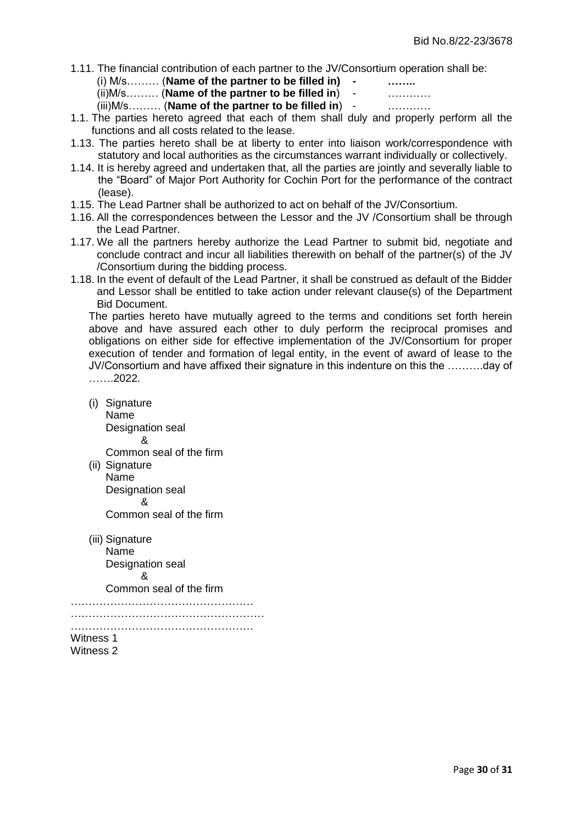1.11. The financial contribution of each partner to the JV/Consortium operation shall be:

(i) M/s……… (**Name of the partner to be filled in) - ……..**

(ii)M/s……… (**Name of the partner to be filled in**) - …………

(iii)M/s……… (**Name of the partner to be filled in**) - …………

- 1.1. The parties hereto agreed that each of them shall duly and properly perform all the functions and all costs related to the lease.
- 1.13. The parties hereto shall be at liberty to enter into liaison work/correspondence with statutory and local authorities as the circumstances warrant individually or collectively.
- 1.14. It is hereby agreed and undertaken that, all the parties are jointly and severally liable to the "Board" of Major Port Authority for Cochin Port for the performance of the contract (lease).
- 1.15. The Lead Partner shall be authorized to act on behalf of the JV/Consortium.
- 1.16. All the correspondences between the Lessor and the JV /Consortium shall be through the Lead Partner.
- 1.17. We all the partners hereby authorize the Lead Partner to submit bid, negotiate and conclude contract and incur all liabilities therewith on behalf of the partner(s) of the JV /Consortium during the bidding process.
- 1.18. In the event of default of the Lead Partner, it shall be construed as default of the Bidder and Lessor shall be entitled to take action under relevant clause(s) of the Department Bid Document.

The parties hereto have mutually agreed to the terms and conditions set forth herein above and have assured each other to duly perform the reciprocal promises and obligations on either side for effective implementation of the JV/Consortium for proper execution of tender and formation of legal entity, in the event of award of lease to the JV/Consortium and have affixed their signature in this indenture on this the ……….day of …….2022.

(i) Signature Name Designation seal &

Common seal of the firm

- (ii) Signature Name Designation seal & Common seal of the firm
- (iii) Signature Name Designation seal & Common seal of the firm

……………………………………………

……………………………………………… ……………………………………………

Witness 1 Witness 2